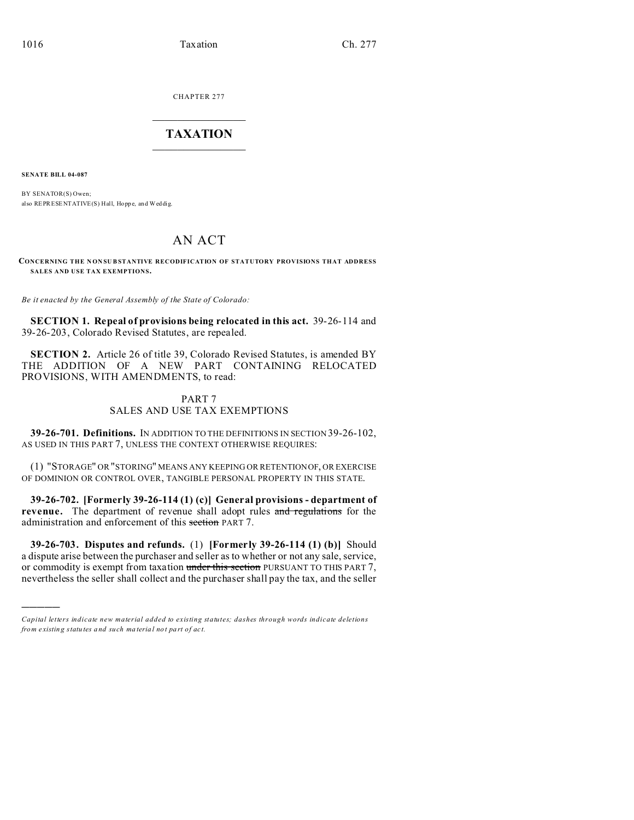CHAPTER 277  $\overline{\phantom{a}}$  , where  $\overline{\phantom{a}}$ 

# **TAXATION**  $\_$

**SENATE BILL 04-087**

)))))

BY SENATOR(S) Owen; also REPRESENTATIVE(S) Hall, Hopp e, and Weddig.

# AN ACT

**CONCERNING THE NONSUBSTANTIVE RECODIFICATION OF STATUTORY PROVISIONS THAT ADDRESS SALES AND USE TAX EXEMPTIONS.**

*Be it enacted by the General Assembly of the State of Colorado:*

**SECTION 1. Repeal of provisions being relocated in this act.** 39-26-114 and 39-26-203, Colorado Revised Statutes, are repealed.

**SECTION 2.** Article 26 of title 39, Colorado Revised Statutes, is amended BY THE ADDITION OF A NEW PART CONTAINING RELOCATED PROVISIONS, WITH AMENDMENTS, to read:

# PART 7 SALES AND USE TAX EXEMPTIONS

**39-26-701. Definitions.** IN ADDITION TO THE DEFINITIONS IN SECTION 39-26-102, AS USED IN THIS PART 7, UNLESS THE CONTEXT OTHERWISE REQUIRES:

(1) "STORAGE" OR "STORING" MEANS ANY KEEPING OR RETENTIONOF, OR EXERCISE OF DOMINION OR CONTROL OVER, TANGIBLE PERSONAL PROPERTY IN THIS STATE.

**39-26-702. [Formerly 39-26-114 (1) (c)] General provisions - department of** revenue. The department of revenue shall adopt rules and regulations for the administration and enforcement of this section PART 7.

**39-26-703. Disputes and refunds.** (1) **[Formerly 39-26-114 (1) (b)]** Should a dispute arise between the purchaser and seller as to whether or not any sale, service, or commodity is exempt from taxation under this section PURSUANT TO THIS PART 7, nevertheless the seller shall collect and the purchaser shall pay the tax, and the seller

*Capital letters indicate new material added to existing statutes; dashes through words indicate deletions from e xistin g statu tes a nd such ma teria l no t pa rt of ac t.*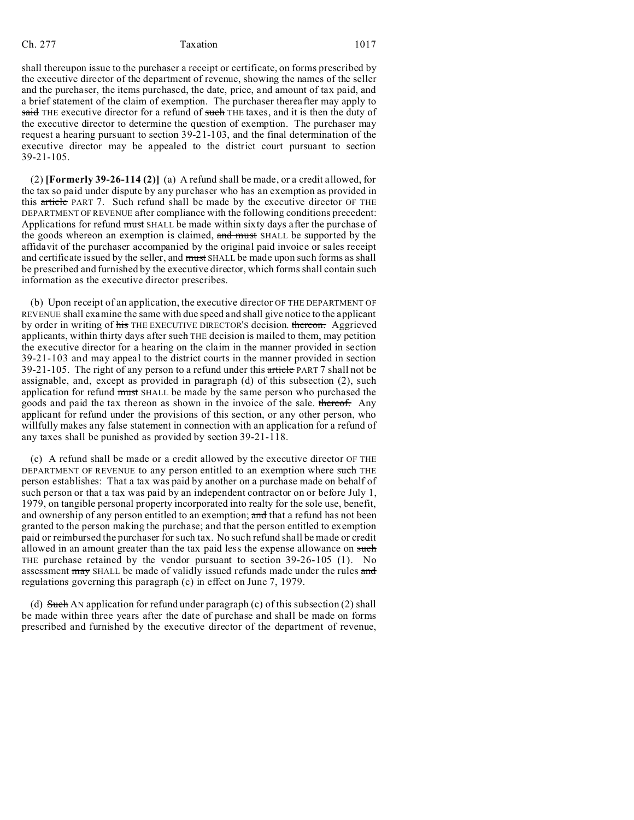shall thereupon issue to the purchaser a receipt or certificate, on forms prescribed by the executive director of the department of revenue, showing the names of the seller and the purchaser, the items purchased, the date, price, and amount of tax paid, and a brief statement of the claim of exemption. The purchaser thereafter may apply to said THE executive director for a refund of such THE taxes, and it is then the duty of the executive director to determine the question of exemption. The purchaser may request a hearing pursuant to section 39-21-103, and the final determination of the executive director may be appealed to the district court pursuant to section 39-21-105.

(2) **[Formerly 39-26-114 (2)]** (a) A refund shall be made, or a credit allowed, for the tax so paid under dispute by any purchaser who has an exemption as provided in this article PART 7. Such refund shall be made by the executive director OF THE DEPARTMENT OF REVENUE after compliance with the following conditions precedent: Applications for refund must SHALL be made within sixty days after the purchase of the goods whereon an exemption is claimed, and must SHALL be supported by the affidavit of the purchaser accompanied by the original paid invoice or sales receipt and certificate issued by the seller, and must SHALL be made upon such forms as shall be prescribed and furnished by the executive director, which forms shall contain such information as the executive director prescribes.

(b) Upon receipt of an application, the executive director OF THE DEPARTMENT OF REVENUE shall examine the same with due speed and shall give notice to the applicant by order in writing of his THE EXECUTIVE DIRECTOR'S decision. thereon. Aggrieved applicants, within thirty days after such THE decision is mailed to them, may petition the executive director for a hearing on the claim in the manner provided in section 39-21-103 and may appeal to the district courts in the manner provided in section 39-21-105. The right of any person to a refund under this article PART 7 shall not be assignable, and, except as provided in paragraph (d) of this subsection (2), such application for refund must SHALL be made by the same person who purchased the goods and paid the tax thereon as shown in the invoice of the sale. thereof. Any applicant for refund under the provisions of this section, or any other person, who willfully makes any false statement in connection with an application for a refund of any taxes shall be punished as provided by section 39-21-118.

(c) A refund shall be made or a credit allowed by the executive director OF THE DEPARTMENT OF REVENUE to any person entitled to an exemption where such THE person establishes: That a tax was paid by another on a purchase made on behalf of such person or that a tax was paid by an independent contractor on or before July 1, 1979, on tangible personal property incorporated into realty for the sole use, benefit, and ownership of any person entitled to an exemption; and that a refund has not been granted to the person making the purchase; and that the person entitled to exemption paid or reimbursed the purchaser for such tax. No such refund shall be made or credit allowed in an amount greater than the tax paid less the expense allowance on such THE purchase retained by the vendor pursuant to section 39-26-105 (1). No assessment may SHALL be made of validly issued refunds made under the rules and regulations governing this paragraph (c) in effect on June 7, 1979.

(d) Such AN application for refund under paragraph (c) of this subsection  $(2)$  shall be made within three years after the date of purchase and shall be made on forms prescribed and furnished by the executive director of the department of revenue,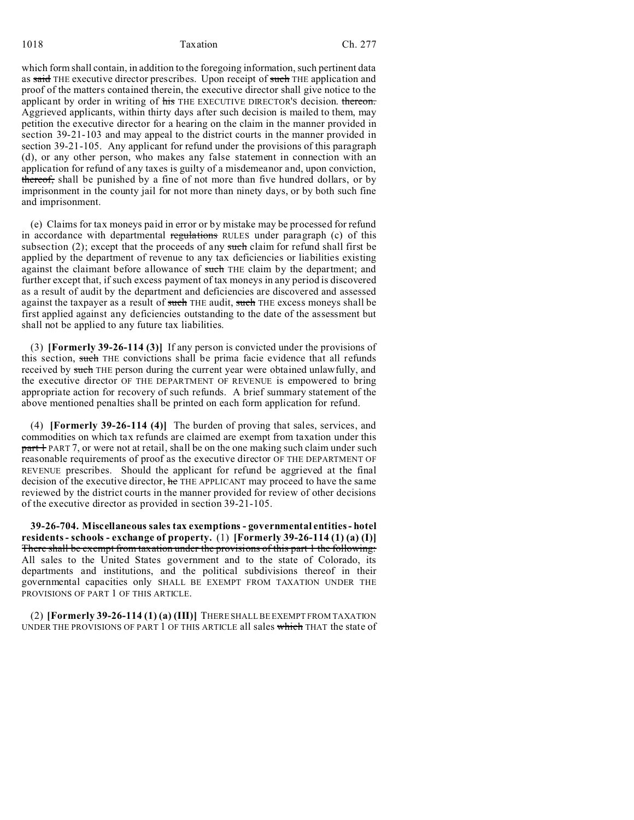1018 **Taxation** Ch. 277

which form shall contain, in addition to the foregoing information, such pertinent data as said THE executive director prescribes. Upon receipt of such THE application and proof of the matters contained therein, the executive director shall give notice to the applicant by order in writing of his THE EXECUTIVE DIRECTOR'S decision. thereon. Aggrieved applicants, within thirty days after such decision is mailed to them, may petition the executive director for a hearing on the claim in the manner provided in section 39-21-103 and may appeal to the district courts in the manner provided in section 39-21-105. Any applicant for refund under the provisions of this paragraph (d), or any other person, who makes any false statement in connection with an application for refund of any taxes is guilty of a misdemeanor and, upon conviction, thereof, shall be punished by a fine of not more than five hundred dollars, or by imprisonment in the county jail for not more than ninety days, or by both such fine and imprisonment.

(e) Claims for tax moneys paid in error or by mistake may be processed for refund in accordance with departmental regulations RULES under paragraph (c) of this subsection  $(2)$ ; except that the proceeds of any such claim for refund shall first be applied by the department of revenue to any tax deficiencies or liabilities existing against the claimant before allowance of such THE claim by the department; and further except that, if such excess payment of tax moneys in any period is discovered as a result of audit by the department and deficiencies are discovered and assessed against the taxpayer as a result of such THE audit, such THE excess moneys shall be first applied against any deficiencies outstanding to the date of the assessment but shall not be applied to any future tax liabilities.

(3) **[Formerly 39-26-114 (3)]** If any person is convicted under the provisions of this section, such THE convictions shall be prima facie evidence that all refunds received by such THE person during the current year were obtained unlawfully, and the executive director OF THE DEPARTMENT OF REVENUE is empowered to bring appropriate action for recovery of such refunds. A brief summary statement of the above mentioned penalties shall be printed on each form application for refund.

(4) **[Formerly 39-26-114 (4)]** The burden of proving that sales, services, and commodities on which tax refunds are claimed are exempt from taxation under this part + PART 7, or were not at retail, shall be on the one making such claim under such reasonable requirements of proof as the executive director OF THE DEPARTMENT OF REVENUE prescribes. Should the applicant for refund be aggrieved at the final decision of the executive director, he THE APPLICANT may proceed to have the same reviewed by the district courts in the manner provided for review of other decisions of the executive director as provided in section 39-21-105.

**39-26-704. Miscellaneous sales tax exemptions - governmental entities - hotel residents - schools - exchange of property.** (1) **[Formerly 39-26-114 (1) (a) (I)]** There shall be exempt from taxation under the provisions of this part 1 the following: All sales to the United States government and to the state of Colorado, its departments and institutions, and the political subdivisions thereof in their governmental capacities only SHALL BE EXEMPT FROM TAXATION UNDER THE PROVISIONS OF PART 1 OF THIS ARTICLE.

(2) **[Formerly 39-26-114 (1) (a) (III)]** THERE SHALL BE EXEMPT FROM TAXATION UNDER THE PROVISIONS OF PART 1 OF THIS ARTICLE all sales which THAT the state of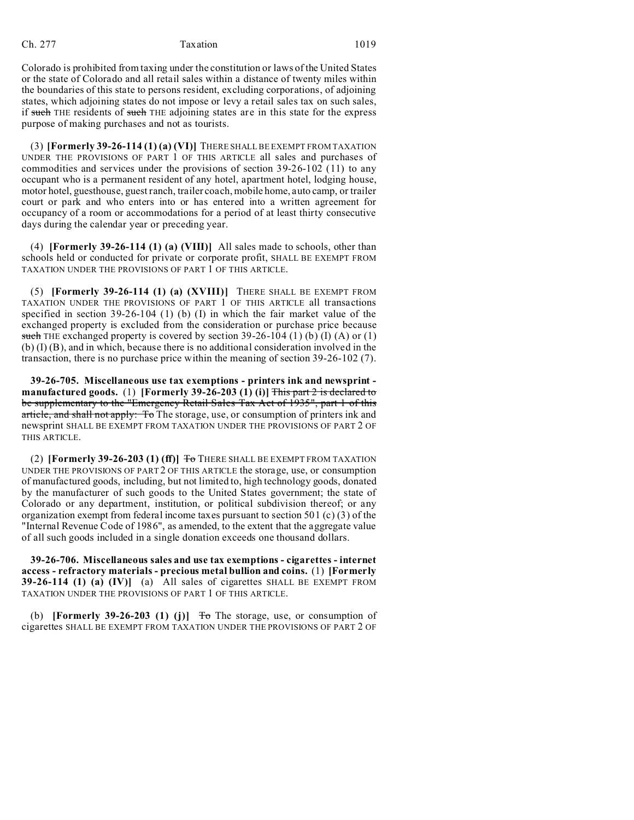Colorado is prohibited from taxing under the constitution or laws of the United States or the state of Colorado and all retail sales within a distance of twenty miles within the boundaries of this state to persons resident, excluding corporations, of adjoining states, which adjoining states do not impose or levy a retail sales tax on such sales, if such THE residents of such THE adjoining states are in this state for the express purpose of making purchases and not as tourists.

(3) **[Formerly 39-26-114 (1) (a) (VI)]** THERE SHALL BE EXEMPT FROM TAXATION UNDER THE PROVISIONS OF PART 1 OF THIS ARTICLE all sales and purchases of commodities and services under the provisions of section 39-26-102 (11) to any occupant who is a permanent resident of any hotel, apartment hotel, lodging house, motor hotel, guesthouse, guest ranch, trailer coach, mobile home, auto camp, or trailer court or park and who enters into or has entered into a written agreement for occupancy of a room or accommodations for a period of at least thirty consecutive days during the calendar year or preceding year.

(4) **[Formerly 39-26-114 (1) (a) (VIII)]** All sales made to schools, other than schools held or conducted for private or corporate profit, SHALL BE EXEMPT FROM TAXATION UNDER THE PROVISIONS OF PART 1 OF THIS ARTICLE.

(5) **[Formerly 39-26-114 (1) (a) (XVIII)]** THERE SHALL BE EXEMPT FROM TAXATION UNDER THE PROVISIONS OF PART 1 OF THIS ARTICLE all transactions specified in section  $39-26-104$  (1) (b) (I) in which the fair market value of the exchanged property is excluded from the consideration or purchase price because such THE exchanged property is covered by section  $39-26-104$  (1) (b) (I) (A) or (1) (b) (I) (B), and in which, because there is no additional consideration involved in the transaction, there is no purchase price within the meaning of section 39-26-102 (7).

**39-26-705. Miscellaneous use tax exemptions - printers ink and newsprint manufactured goods.** (1) **[Formerly 39-26-203 (1) (i)]** This part 2 is declared to be supplementary to the "Emergency Retail Sales Tax Act of 1935", part 1 of this article, and shall not apply: To The storage, use, or consumption of printers ink and newsprint SHALL BE EXEMPT FROM TAXATION UNDER THE PROVISIONS OF PART 2 OF THIS ARTICLE.

(2) **[Formerly 39-26-203 (1) (ff)]**  $\overline{f}$  There shall be exempt from Taxation UNDER THE PROVISIONS OF PART 2 OF THIS ARTICLE the storage, use, or consumption of manufactured goods, including, but not limited to, high technology goods, donated by the manufacturer of such goods to the United States government; the state of Colorado or any department, institution, or political subdivision thereof; or any organization exempt from federal income taxes pursuant to section 501 (c) (3) of the "Internal Revenue Code of 1986", as amended, to the extent that the aggregate value of all such goods included in a single donation exceeds one thousand dollars.

**39-26-706. Miscellaneous sales and use tax exemptions - cigarettes - internet access - refractory materials - precious metal bullion and coins.** (1) **[Formerly 39-26-114 (1) (a) (IV)]** (a) All sales of cigarettes SHALL BE EXEMPT FROM TAXATION UNDER THE PROVISIONS OF PART 1 OF THIS ARTICLE.

(b) **[Formerly 39-26-203 (1) (j)]**  $\overline{f}$  The storage, use, or consumption of cigarettes SHALL BE EXEMPT FROM TAXATION UNDER THE PROVISIONS OF PART 2 OF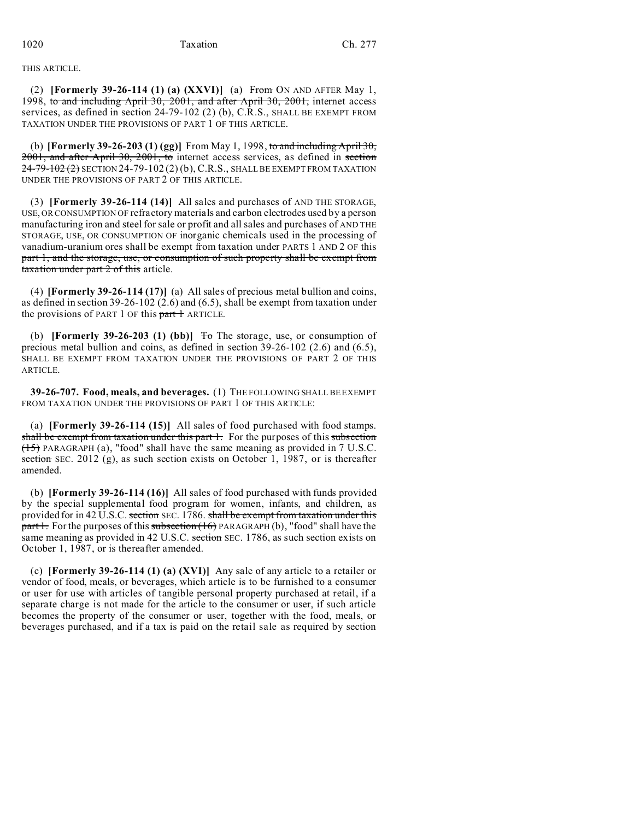THIS ARTICLE.

(2) **[Formerly 39-26-114 (1) (a) (XXVI)]** (a) From ON AND AFTER May 1, 1998, to and including April 30, 2001, and after April 30, 2001, internet access services, as defined in section 24-79-102 (2) (b), C.R.S., SHALL BE EXEMPT FROM TAXATION UNDER THE PROVISIONS OF PART 1 OF THIS ARTICLE.

(b) **[Formerly 39-26-203 (1) (gg)]** From May 1, 1998, to and including April 30, 2001, and after April 30, 2001, to internet access services, as defined in section  $24-79-102(2)$  SECTION 24-79-102(2) (b), C.R.S., SHALL BE EXEMPT FROM TAXATION UNDER THE PROVISIONS OF PART 2 OF THIS ARTICLE.

(3) **[Formerly 39-26-114 (14)]** All sales and purchases of AND THE STORAGE, USE, OR CONSUMPTION OF refractory materials and carbon electrodes used by a person manufacturing iron and steel for sale or profit and all sales and purchases of AND THE STORAGE, USE, OR CONSUMPTION OF inorganic chemicals used in the processing of vanadium-uranium ores shall be exempt from taxation under PARTS 1 AND 2 OF this part 1, and the storage, use, or consumption of such property shall be exempt from  $\frac{1}{4}$  taxation under part  $\frac{1}{2}$  of this article.

(4) **[Formerly 39-26-114 (17)]** (a) All sales of precious metal bullion and coins, as defined in section 39-26-102 (2.6) and (6.5), shall be exempt from taxation under the provisions of PART 1 OF this  $part 1$  ARTICLE.

(b) **[Formerly 39-26-203 (1) (bb)]**  $\overline{f}$  The storage, use, or consumption of precious metal bullion and coins, as defined in section 39-26-102 (2.6) and (6.5), SHALL BE EXEMPT FROM TAXATION UNDER THE PROVISIONS OF PART 2 OF THIS ARTICLE.

**39-26-707. Food, meals, and beverages.** (1) THE FOLLOWING SHALL BE EXEMPT FROM TAXATION UNDER THE PROVISIONS OF PART 1 OF THIS ARTICLE:

(a) **[Formerly 39-26-114 (15)]** All sales of food purchased with food stamps. shall be exempt from taxation under this part 1. For the purposes of this subsection  $(15)$  PARAGRAPH (a), "food" shall have the same meaning as provided in 7 U.S.C. section SEC. 2012 (g), as such section exists on October 1, 1987, or is thereafter amended.

(b) **[Formerly 39-26-114 (16)]** All sales of food purchased with funds provided by the special supplemental food program for women, infants, and children, as provided for in 42 U.S.C. section SEC. 1786. shall be exempt from taxation under this  $part 1$ . For the purposes of this subsection  $(16)$  PARAGRAPH $(b)$ , "food" shall have the same meaning as provided in 42 U.S.C. section SEC. 1786, as such section exists on October 1, 1987, or is thereafter amended.

(c) **[Formerly 39-26-114 (1) (a) (XVI)]** Any sale of any article to a retailer or vendor of food, meals, or beverages, which article is to be furnished to a consumer or user for use with articles of tangible personal property purchased at retail, if a separate charge is not made for the article to the consumer or user, if such article becomes the property of the consumer or user, together with the food, meals, or beverages purchased, and if a tax is paid on the retail sale as required by section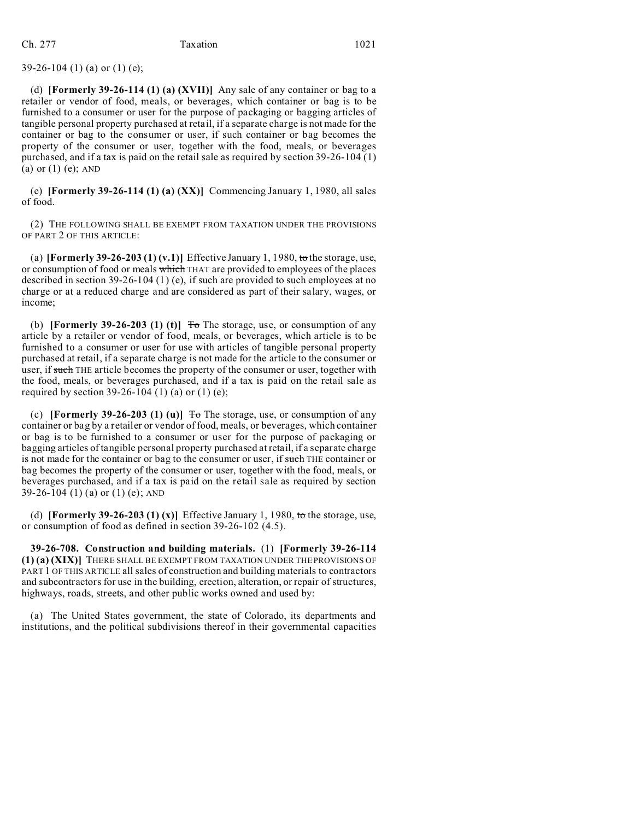# 39-26-104 (1) (a) or (1) (e);

(d) **[Formerly 39-26-114 (1) (a) (XVII)]** Any sale of any container or bag to a retailer or vendor of food, meals, or beverages, which container or bag is to be furnished to a consumer or user for the purpose of packaging or bagging articles of tangible personal property purchased at retail, if a separate charge is not made for the container or bag to the consumer or user, if such container or bag becomes the property of the consumer or user, together with the food, meals, or beverages purchased, and if a tax is paid on the retail sale as required by section 39-26-104 (1) (a) or (1) (e); AND

(e) **[Formerly 39-26-114 (1) (a) (XX)]** Commencing January 1, 1980, all sales of food.

(2) THE FOLLOWING SHALL BE EXEMPT FROM TAXATION UNDER THE PROVISIONS OF PART 2 OF THIS ARTICLE:

(a) **[Formerly 39-26-203 (1) (v.1)]** Effective January 1, 1980, to the storage, use, or consumption of food or meals which THAT are provided to employees of the places described in section 39-26-104 (1) (e), if such are provided to such employees at no charge or at a reduced charge and are considered as part of their salary, wages, or income;

(b) **[Formerly 39-26-203 (1) (t)]**  $\overline{r}$  The storage, use, or consumption of any article by a retailer or vendor of food, meals, or beverages, which article is to be furnished to a consumer or user for use with articles of tangible personal property purchased at retail, if a separate charge is not made for the article to the consumer or user, if such THE article becomes the property of the consumer or user, together with the food, meals, or beverages purchased, and if a tax is paid on the retail sale as required by section 39-26-104 (1) (a) or (1) (e);

(c) **[Formerly 39-26-203 (1) (u)]**  $\overline{f}$  The storage, use, or consumption of any container or bag by a retailer or vendor of food, meals, or beverages, which container or bag is to be furnished to a consumer or user for the purpose of packaging or bagging articles of tangible personal property purchased at retail, if a separate charge is not made for the container or bag to the consumer or user, if such THE container or bag becomes the property of the consumer or user, together with the food, meals, or beverages purchased, and if a tax is paid on the retail sale as required by section 39-26-104 (1) (a) or (1) (e); AND

(d) **[Formerly 39-26-203 (1) (x)]** Effective January 1, 1980, to the storage, use, or consumption of food as defined in section 39-26-102 (4.5).

**39-26-708. Construction and building materials.** (1) **[Formerly 39-26-114 (1) (a) (XIX)]** THERE SHALL BE EXEMPT FROM TAXATION UNDER THE PROVISIONS OF PART 1 OF THIS ARTICLE all sales of construction and building materials to contractors and subcontractors for use in the building, erection, alteration, or repair of structures, highways, roads, streets, and other public works owned and used by:

(a) The United States government, the state of Colorado, its departments and institutions, and the political subdivisions thereof in their governmental capacities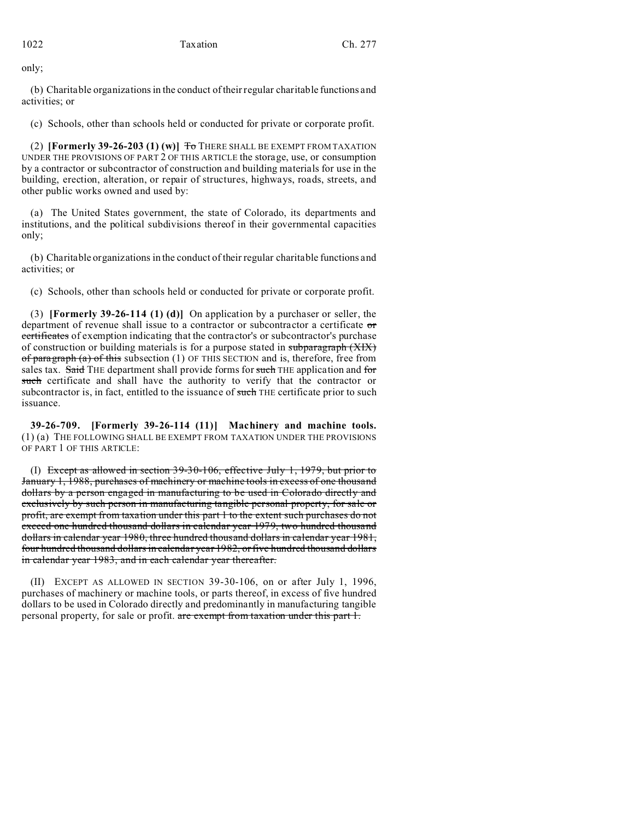only;

(b) Charitable organizations in the conduct of their regular charitable functions and activities; or

(c) Schools, other than schools held or conducted for private or corporate profit.

(2) **[Formerly 39-26-203 (1) (w)]** To THERE SHALL BE EXEMPT FROM TAXATION UNDER THE PROVISIONS OF PART 2 OF THIS ARTICLE the storage, use, or consumption by a contractor or subcontractor of construction and building materials for use in the building, erection, alteration, or repair of structures, highways, roads, streets, and other public works owned and used by:

(a) The United States government, the state of Colorado, its departments and institutions, and the political subdivisions thereof in their governmental capacities only;

(b) Charitable organizations in the conduct of their regular charitable functions and activities; or

(c) Schools, other than schools held or conducted for private or corporate profit.

(3) **[Formerly 39-26-114 (1) (d)]** On application by a purchaser or seller, the department of revenue shall issue to a contractor or subcontractor a certificate or certificates of exemption indicating that the contractor's or subcontractor's purchase of construction or building materials is for a purpose stated in subparagraph (XIX) of paragraph  $(a)$  of this subsection (1) OF THIS SECTION and is, therefore, free from sales tax. Said THE department shall provide forms for such THE application and for such certificate and shall have the authority to verify that the contractor or subcontractor is, in fact, entitled to the issuance of such THE certificate prior to such issuance.

**39-26-709. [Formerly 39-26-114 (11)] Machinery and machine tools.** (1) (a) THE FOLLOWING SHALL BE EXEMPT FROM TAXATION UNDER THE PROVISIONS OF PART 1 OF THIS ARTICLE:

(I) Except as allowed in section 39-30-106, effective July 1, 1979, but prior to January 1, 1988, purchases of machinery or machine tools in excess of one thousand dollars by a person engaged in manufacturing to be used in Colorado directly and exclusively by such person in manufacturing tangible personal property, for sale or profit, are exempt from taxation under this part 1 to the extent such purchases do not exceed one hundred thousand dollars in calendar year 1979, two hundred thousand dollars in calendar year 1980, three hundred thousand dollars in calendar year 1981, four hundred thousand dollars in calendar year 1982, or five hundred thousand dollars in calendar year 1983, and in each calendar year thereafter.

(II) EXCEPT AS ALLOWED IN SECTION 39-30-106, on or after July 1, 1996, purchases of machinery or machine tools, or parts thereof, in excess of five hundred dollars to be used in Colorado directly and predominantly in manufacturing tangible personal property, for sale or profit. are exempt from taxation under this part 1.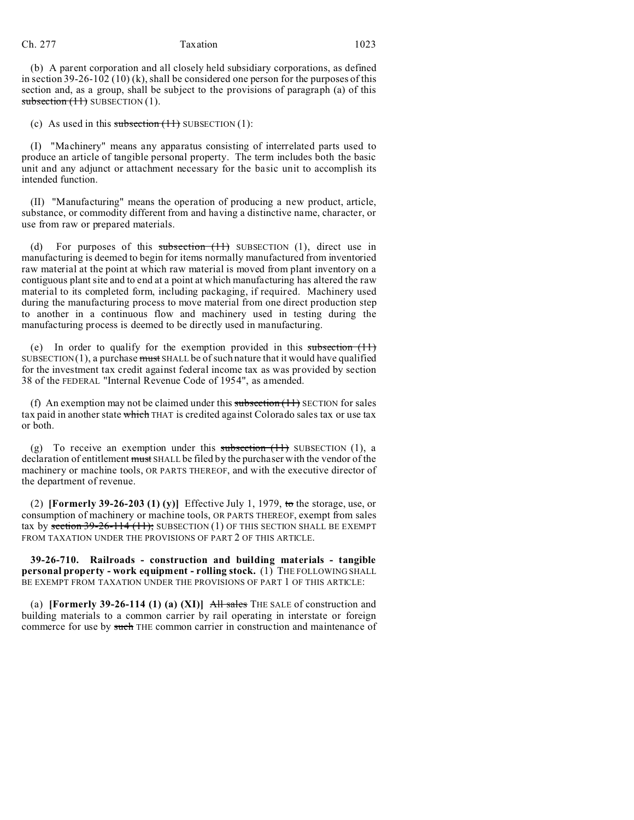(b) A parent corporation and all closely held subsidiary corporations, as defined in section  $39-26-102(10)$  (k), shall be considered one person for the purposes of this section and, as a group, shall be subject to the provisions of paragraph (a) of this subsection  $(11)$  SUBSECTION  $(1)$ .

(c) As used in this subsection  $(11)$  SUBSECTION  $(1)$ :

(I) "Machinery" means any apparatus consisting of interrelated parts used to produce an article of tangible personal property. The term includes both the basic unit and any adjunct or attachment necessary for the basic unit to accomplish its intended function.

(II) "Manufacturing" means the operation of producing a new product, article, substance, or commodity different from and having a distinctive name, character, or use from raw or prepared materials.

(d) For purposes of this subsection  $(11)$  SUBSECTION  $(1)$ , direct use in manufacturing is deemed to begin for items normally manufactured from inventoried raw material at the point at which raw material is moved from plant inventory on a contiguous plant site and to end at a point at which manufacturing has altered the raw material to its completed form, including packaging, if required. Machinery used during the manufacturing process to move material from one direct production step to another in a continuous flow and machinery used in testing during the manufacturing process is deemed to be directly used in manufacturing.

(e) In order to qualify for the exemption provided in this subsection  $(11)$ SUBSECTION(1), a purchase  $\frac{m}{1}$  SHALL be of such nature that it would have qualified for the investment tax credit against federal income tax as was provided by section 38 of the FEDERAL "Internal Revenue Code of 1954", as amended.

(f) An exemption may not be claimed under this subsection  $(11)$  SECTION for sales tax paid in another state which THAT is credited against Colorado sales tax or use tax or both.

(g) To receive an exemption under this subsection  $(1)$  SUBSECTION  $(1)$ , a declaration of entitlement must SHALL be filed by the purchaser with the vendor of the machinery or machine tools, OR PARTS THEREOF, and with the executive director of the department of revenue.

(2) **[Formerly 39-26-203 (1) (y)]** Effective July 1, 1979, to the storage, use, or consumption of machinery or machine tools, OR PARTS THEREOF, exempt from sales tax by section  $39-26-114$  (11); SUBSECTION (1) OF THIS SECTION SHALL BE EXEMPT FROM TAXATION UNDER THE PROVISIONS OF PART 2 OF THIS ARTICLE.

**39-26-710. Railroads - construction and building materials - tangible personal property - work equipment - rolling stock.** (1) THE FOLLOWING SHALL BE EXEMPT FROM TAXATION UNDER THE PROVISIONS OF PART 1 OF THIS ARTICLE:

(a) **[Formerly 39-26-114 (1) (a) (XI)]** All sales THE SALE of construction and building materials to a common carrier by rail operating in interstate or foreign commerce for use by such THE common carrier in construction and maintenance of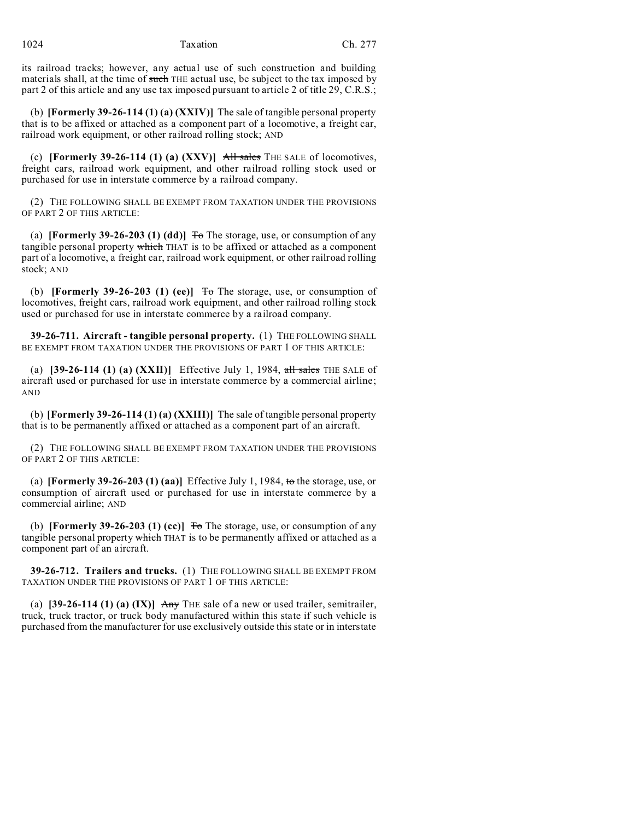its railroad tracks; however, any actual use of such construction and building materials shall, at the time of such THE actual use, be subject to the tax imposed by part 2 of this article and any use tax imposed pursuant to article 2 of title 29, C.R.S.;

(b) **[Formerly 39-26-114 (1) (a) (XXIV)]** The sale of tangible personal property that is to be affixed or attached as a component part of a locomotive, a freight car, railroad work equipment, or other railroad rolling stock; AND

(c) **[Formerly 39-26-114 (1) (a) (XXV)]** All sales THE SALE of locomotives, freight cars, railroad work equipment, and other railroad rolling stock used or purchased for use in interstate commerce by a railroad company.

(2) THE FOLLOWING SHALL BE EXEMPT FROM TAXATION UNDER THE PROVISIONS OF PART 2 OF THIS ARTICLE:

(a) **[Formerly 39-26-203 (1) (dd)]**  $\overline{To}$  The storage, use, or consumption of any tangible personal property which THAT is to be affixed or attached as a component part of a locomotive, a freight car, railroad work equipment, or other railroad rolling stock; AND

(b) **[Formerly 39-26-203 (1) (ee)]**  $\overline{0}$  The storage, use, or consumption of locomotives, freight cars, railroad work equipment, and other railroad rolling stock used or purchased for use in interstate commerce by a railroad company.

**39-26-711. Aircraft - tangible personal property.** (1) THE FOLLOWING SHALL BE EXEMPT FROM TAXATION UNDER THE PROVISIONS OF PART 1 OF THIS ARTICLE:

(a) **[39-26-114 (1) (a) (XXII)]** Effective July 1, 1984,  $\frac{1}{\text{all sales}}$  THE SALE of aircraft used or purchased for use in interstate commerce by a commercial airline; AND

(b) **[Formerly 39-26-114 (1) (a) (XXIII)]** The sale of tangible personal property that is to be permanently affixed or attached as a component part of an aircraft.

(2) THE FOLLOWING SHALL BE EXEMPT FROM TAXATION UNDER THE PROVISIONS OF PART 2 OF THIS ARTICLE:

(a) **[Formerly 39-26-203 (1) (aa)]** Effective July 1, 1984, to the storage, use, or consumption of aircraft used or purchased for use in interstate commerce by a commercial airline; AND

(b) **[Formerly 39-26-203 (1) (cc)]**  $\overline{0}$  The storage, use, or consumption of any tangible personal property which THAT is to be permanently affixed or attached as a component part of an aircraft.

**39-26-712. Trailers and trucks.** (1) THE FOLLOWING SHALL BE EXEMPT FROM TAXATION UNDER THE PROVISIONS OF PART 1 OF THIS ARTICLE:

(a)  $[39-26-114 (1) (a) (IX)]$  Any THE sale of a new or used trailer, semitrailer, truck, truck tractor, or truck body manufactured within this state if such vehicle is purchased from the manufacturer for use exclusively outside this state or in interstate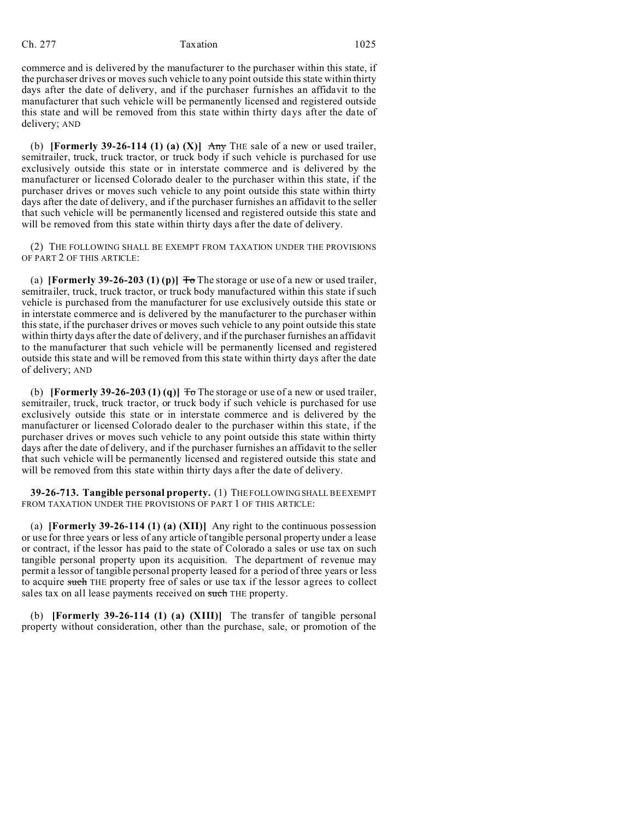commerce and is delivered by the manufacturer to the purchaser within this state, if the purchaser drives or moves such vehicle to any point outside this state within thirty days after the date of delivery, and if the purchaser furnishes an affidavit to the manufacturer that such vehicle will be permanently licensed and registered outside this state and will be removed from this state within thirty days after the date of delivery; AND

(b) **[Formerly 39-26-114 (1) (a) (X)]** Any THE sale of a new or used trailer, semitrailer, truck, truck tractor, or truck body if such vehicle is purchased for use exclusively outside this state or in interstate commerce and is delivered by the manufacturer or licensed Colorado dealer to the purchaser within this state, if the purchaser drives or moves such vehicle to any point outside this state within thirty days after the date of delivery, and if the purchaser furnishes an affidavit to the seller that such vehicle will be permanently licensed and registered outside this state and will be removed from this state within thirty days after the date of delivery.

(2) THE FOLLOWING SHALL BE EXEMPT FROM TAXATION UNDER THE PROVISIONS OF PART 2 OF THIS ARTICLE:

(a) **[Formerly 39-26-203 (1) (p)]**  $\overline{f}$  The storage or use of a new or used trailer, semitrailer, truck, truck tractor, or truck body manufactured within this state if such vehicle is purchased from the manufacturer for use exclusively outside this state or in interstate commerce and is delivered by the manufacturer to the purchaser within this state, if the purchaser drives or moves such vehicle to any point outside this state within thirty days after the date of delivery, and if the purchaser furnishes an affidavit to the manufacturer that such vehicle will be permanently licensed and registered outside this state and will be removed from this state within thirty days after the date of delivery; AND

(b) **[Formerly 39-26-203 (1) (q)]**  $\overline{10}$  The storage or use of a new or used trailer, semitrailer, truck, truck tractor, or truck body if such vehicle is purchased for use exclusively outside this state or in interstate commerce and is delivered by the manufacturer or licensed Colorado dealer to the purchaser within this state, if the purchaser drives or moves such vehicle to any point outside this state within thirty days after the date of delivery, and if the purchaser furnishes an affidavit to the seller that such vehicle will be permanently licensed and registered outside this state and will be removed from this state within thirty days after the date of delivery.

**39-26-713. Tangible personal property.** (1) THE FOLLOWING SHALL BE EXEMPT FROM TAXATION UNDER THE PROVISIONS OF PART 1 OF THIS ARTICLE:

(a) **[Formerly 39-26-114 (1) (a) (XII)]** Any right to the continuous possession or use for three years or less of any article of tangible personal property under a lease or contract, if the lessor has paid to the state of Colorado a sales or use tax on such tangible personal property upon its acquisition. The department of revenue may permit a lessor of tangible personal property leased for a period of three years or less to acquire such THE property free of sales or use tax if the lessor agrees to collect sales tax on all lease payments received on such THE property.

(b) **[Formerly 39-26-114 (1) (a) (XIII)]** The transfer of tangible personal property without consideration, other than the purchase, sale, or promotion of the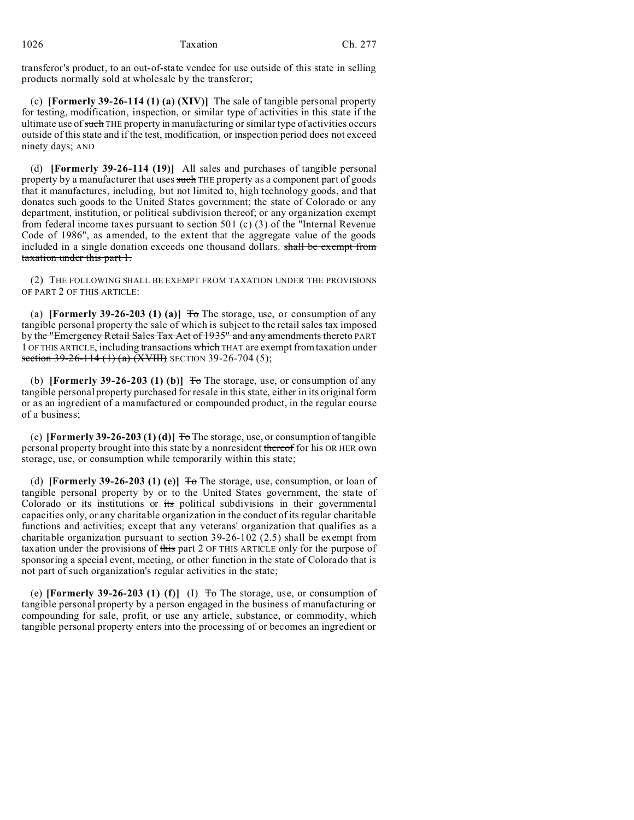transferor's product, to an out-of-state vendee for use outside of this state in selling products normally sold at wholesale by the transferor;

(c) **[Formerly 39-26-114 (1) (a) (XIV)]** The sale of tangible personal property for testing, modification, inspection, or similar type of activities in this state if the ultimate use of such THE property in manufacturing or similar type of activities occurs outside of this state and if the test, modification, or inspection period does not exceed ninety days; AND

(d) **[Formerly 39-26-114 (19)]** All sales and purchases of tangible personal property by a manufacturer that uses such THE property as a component part of goods that it manufactures, including, but not limited to, high technology goods, and that donates such goods to the United States government; the state of Colorado or any department, institution, or political subdivision thereof; or any organization exempt from federal income taxes pursuant to section 501 (c) (3) of the "Internal Revenue Code of 1986", as amended, to the extent that the aggregate value of the goods included in a single donation exceeds one thousand dollars. shall be exempt from taxation under this part 1.

(2) THE FOLLOWING SHALL BE EXEMPT FROM TAXATION UNDER THE PROVISIONS OF PART 2 OF THIS ARTICLE:

(a) **[Formerly 39-26-203 (1) (a)]**  $\overline{T}$  The storage, use, or consumption of any tangible personal property the sale of which is subject to the retail sales tax imposed by the "Emergency Retail Sales Tax Act of 1935" and any amendments thereto PART 1 OF THIS ARTICLE, including transactions which THAT are exempt from taxation under section 39-26-114 (1) (a) (XVIII) SECTION 39-26-704 (5);

(b) **[Formerly 39-26-203 (1) (b)]**  $\overline{0}$  The storage, use, or consumption of any tangible personal property purchased for resale in this state, either in its original form or as an ingredient of a manufactured or compounded product, in the regular course of a business;

(c) **[Formerly 39-26-203 (1) (d)]**  $\overline{P}$  The storage, use, or consumption of tangible personal property brought into this state by a nonresident thereof for his OR HER own storage, use, or consumption while temporarily within this state;

(d) **[Formerly 39-26-203 (1) (e)]**  $\overline{\text{To}}$  The storage, use, consumption, or loan of tangible personal property by or to the United States government, the state of Colorado or its institutions or its political subdivisions in their governmental capacities only, or any charitable organization in the conduct of its regular charitable functions and activities; except that any veterans' organization that qualifies as a charitable organization pursuant to section 39-26-102 (2.5) shall be exempt from taxation under the provisions of this part 2 OF THIS ARTICLE only for the purpose of sponsoring a special event, meeting, or other function in the state of Colorado that is not part of such organization's regular activities in the state;

(e) **[Formerly 39-26-203 (1) (f)]** (I)  $T\sigma$  The storage, use, or consumption of tangible personal property by a person engaged in the business of manufacturing or compounding for sale, profit, or use any article, substance, or commodity, which tangible personal property enters into the processing of or becomes an ingredient or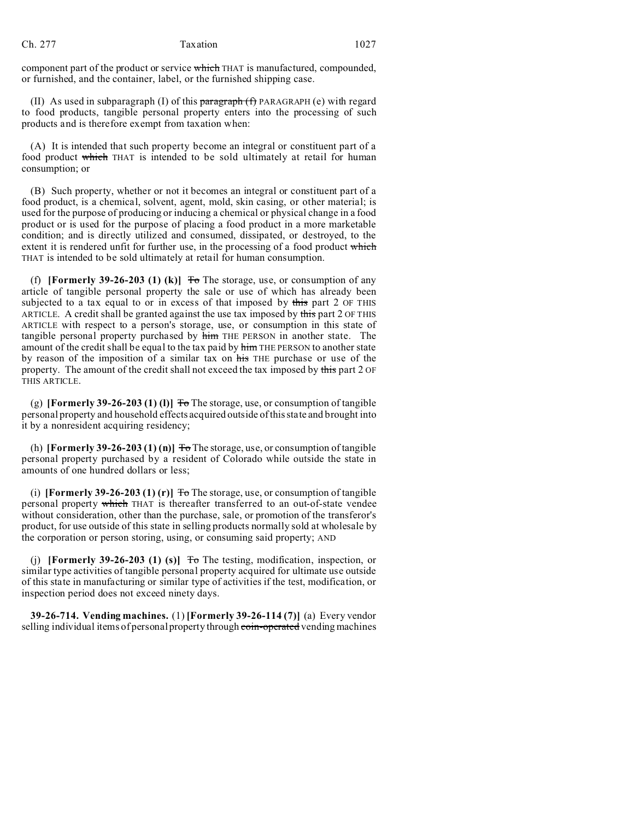component part of the product or service which THAT is manufactured, compounded, or furnished, and the container, label, or the furnished shipping case.

(II) As used in subparagraph (I) of this  $\frac{\partial f}{\partial x}$  paragraph (f) PARAGRAPH (e) with regard to food products, tangible personal property enters into the processing of such products and is therefore exempt from taxation when:

(A) It is intended that such property become an integral or constituent part of a food product which THAT is intended to be sold ultimately at retail for human consumption; or

(B) Such property, whether or not it becomes an integral or constituent part of a food product, is a chemical, solvent, agent, mold, skin casing, or other material; is used for the purpose of producing or inducing a chemical or physical change in a food product or is used for the purpose of placing a food product in a more marketable condition; and is directly utilized and consumed, dissipated, or destroyed, to the extent it is rendered unfit for further use, in the processing of a food product which THAT is intended to be sold ultimately at retail for human consumption.

(f) **[Formerly 39-26-203 (1) (k)]**  $\overline{f}$  The storage, use, or consumption of any article of tangible personal property the sale or use of which has already been subjected to a tax equal to or in excess of that imposed by this part 2 OF THIS ARTICLE. A credit shall be granted against the use tax imposed by this part 2 OF THIS ARTICLE with respect to a person's storage, use, or consumption in this state of tangible personal property purchased by him THE PERSON in another state. The amount of the credit shall be equal to the tax paid by him THE PERSON to another state by reason of the imposition of a similar tax on his THE purchase or use of the property. The amount of the credit shall not exceed the tax imposed by this part 2 OF THIS ARTICLE.

(g) **[Formerly 39-26-203 (1) (l)]**  $\overline{f}$  The storage, use, or consumption of tangible personal property and household effects acquired outside of this state and brought into it by a nonresident acquiring residency;

(h) **[Formerly 39-26-203 (1) (n)]**  $\overline{0}$  The storage, use, or consumption of tangible personal property purchased by a resident of Colorado while outside the state in amounts of one hundred dollars or less;

(i) **[Formerly 39-26-203 (1) (r)]**  $\overline{f}$  The storage, use, or consumption of tangible personal property which THAT is thereafter transferred to an out-of-state vendee without consideration, other than the purchase, sale, or promotion of the transferor's product, for use outside of this state in selling products normally sold at wholesale by the corporation or person storing, using, or consuming said property; AND

(i) **[Formerly 39-26-203 (1) (s)]**  $\overline{r}$  The testing, modification, inspection, or similar type activities of tangible personal property acquired for ultimate use outside of this state in manufacturing or similar type of activities if the test, modification, or inspection period does not exceed ninety days.

**39-26-714. Vending machines.** (1) **[Formerly 39-26-114 (7)]** (a) Every vendor selling individual items of personal property through coin-operated vending machines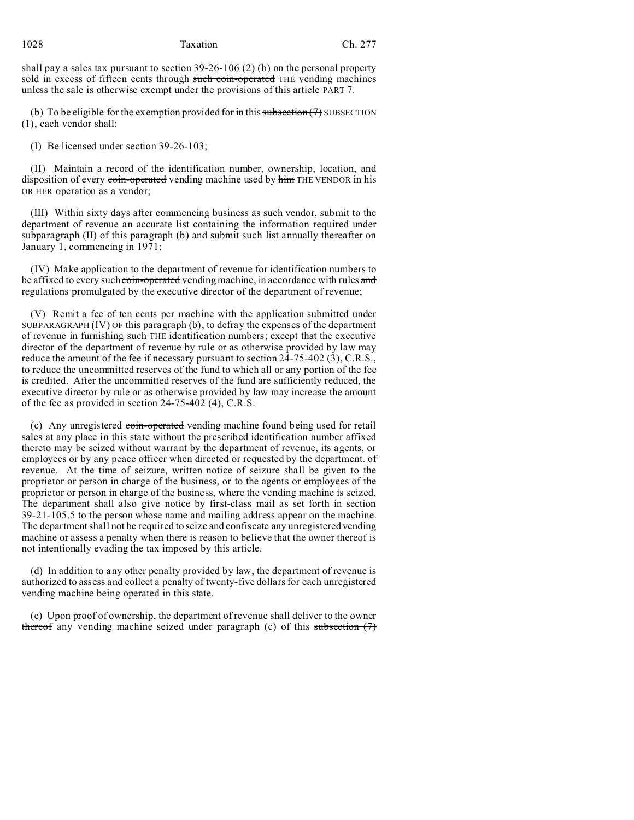shall pay a sales tax pursuant to section 39-26-106 (2) (b) on the personal property sold in excess of fifteen cents through such coin-operated THE vending machines unless the sale is otherwise exempt under the provisions of this article PART 7.

(b) To be eligible for the exemption provided for in this  $\frac{\text{subsection}(7)}{7}$  SUBSECTION (1), each vendor shall:

(I) Be licensed under section 39-26-103;

(II) Maintain a record of the identification number, ownership, location, and disposition of every coin-operated vending machine used by him THE VENDOR in his OR HER operation as a vendor;

(III) Within sixty days after commencing business as such vendor, submit to the department of revenue an accurate list containing the information required under subparagraph (II) of this paragraph (b) and submit such list annually thereafter on January 1, commencing in 1971;

(IV) Make application to the department of revenue for identification numbers to be affixed to every such coin-operated vending machine, in accordance with rules and regulations promulgated by the executive director of the department of revenue;

(V) Remit a fee of ten cents per machine with the application submitted under SUBPARAGRAPH (IV) OF this paragraph (b), to defray the expenses of the department of revenue in furnishing such THE identification numbers; except that the executive director of the department of revenue by rule or as otherwise provided by law may reduce the amount of the fee if necessary pursuant to section 24-75-402 (3), C.R.S., to reduce the uncommitted reserves of the fund to which all or any portion of the fee is credited. After the uncommitted reserves of the fund are sufficiently reduced, the executive director by rule or as otherwise provided by law may increase the amount of the fee as provided in section 24-75-402 (4), C.R.S.

(c) Any unregistered coin-operated vending machine found being used for retail sales at any place in this state without the prescribed identification number affixed thereto may be seized without warrant by the department of revenue, its agents, or employees or by any peace officer when directed or requested by the department. of revenue. At the time of seizure, written notice of seizure shall be given to the proprietor or person in charge of the business, or to the agents or employees of the proprietor or person in charge of the business, where the vending machine is seized. The department shall also give notice by first-class mail as set forth in section 39-21-105.5 to the person whose name and mailing address appear on the machine. The department shall not be required to seize and confiscate any unregistered vending machine or assess a penalty when there is reason to believe that the owner thereof is not intentionally evading the tax imposed by this article.

(d) In addition to any other penalty provided by law, the department of revenue is authorized to assess and collect a penalty of twenty-five dollars for each unregistered vending machine being operated in this state.

(e) Upon proof of ownership, the department of revenue shall deliver to the owner thereof any vending machine seized under paragraph (c) of this subsection  $(7)$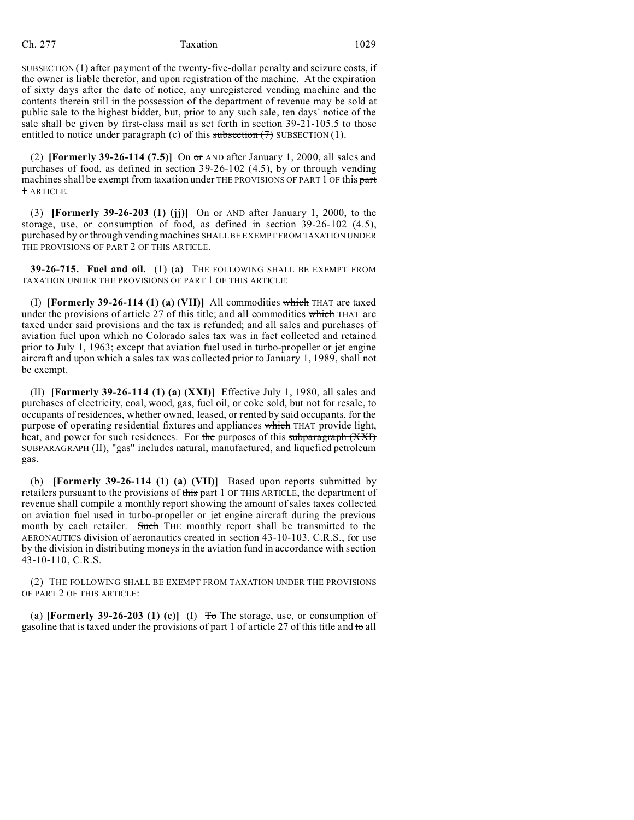SUBSECTION (1) after payment of the twenty-five-dollar penalty and seizure costs, if the owner is liable therefor, and upon registration of the machine. At the expiration of sixty days after the date of notice, any unregistered vending machine and the contents therein still in the possession of the department of revenue may be sold at public sale to the highest bidder, but, prior to any such sale, ten days' notice of the sale shall be given by first-class mail as set forth in section 39-21-105.5 to those entitled to notice under paragraph (c) of this subsection  $(7)$  SUBSECTION  $(1)$ .

(2) **[Formerly 39-26-114 (7.5)]** On or AND after January 1, 2000, all sales and purchases of food, as defined in section 39-26-102 (4.5), by or through vending machines shall be exempt from taxation under THE PROVISIONS OF PART 1 OF this part 1 ARTICLE.

(3) **[Formerly 39-26-203 (1) (jj)]** On or AND after January 1, 2000, to the storage, use, or consumption of food, as defined in section 39-26-102 (4.5), purchased by or through vending machines SHALL BE EXEMPT FROM TAXATION UNDER THE PROVISIONS OF PART 2 OF THIS ARTICLE.

**39-26-715. Fuel and oil.** (1) (a) THE FOLLOWING SHALL BE EXEMPT FROM TAXATION UNDER THE PROVISIONS OF PART 1 OF THIS ARTICLE:

(I) **[Formerly 39-26-114 (1) (a) (VII)]** All commodities which THAT are taxed under the provisions of article 27 of this title; and all commodities which THAT are taxed under said provisions and the tax is refunded; and all sales and purchases of aviation fuel upon which no Colorado sales tax was in fact collected and retained prior to July 1, 1963; except that aviation fuel used in turbo-propeller or jet engine aircraft and upon which a sales tax was collected prior to January 1, 1989, shall not be exempt.

(II) **[Formerly 39-26-114 (1) (a) (XXI)]** Effective July 1, 1980, all sales and purchases of electricity, coal, wood, gas, fuel oil, or coke sold, but not for resale, to occupants of residences, whether owned, leased, or rented by said occupants, for the purpose of operating residential fixtures and appliances which THAT provide light, heat, and power for such residences. For the purposes of this subparagraph (XXI) SUBPARAGRAPH (II), "gas" includes natural, manufactured, and liquefied petroleum gas.

(b) **[Formerly 39-26-114 (1) (a) (VII)]** Based upon reports submitted by retailers pursuant to the provisions of this part 1 OF THIS ARTICLE, the department of revenue shall compile a monthly report showing the amount of sales taxes collected on aviation fuel used in turbo-propeller or jet engine aircraft during the previous month by each retailer. Such THE monthly report shall be transmitted to the AERONAUTICS division of aeronautics created in section 43-10-103, C.R.S., for use by the division in distributing moneys in the aviation fund in accordance with section 43-10-110, C.R.S.

(2) THE FOLLOWING SHALL BE EXEMPT FROM TAXATION UNDER THE PROVISIONS OF PART 2 OF THIS ARTICLE:

(a) **[Formerly 39-26-203 (1) (c)]** (I)  $T<sub>o</sub>$  The storage, use, or consumption of gasoline that is taxed under the provisions of part 1 of article 27 of this title and to all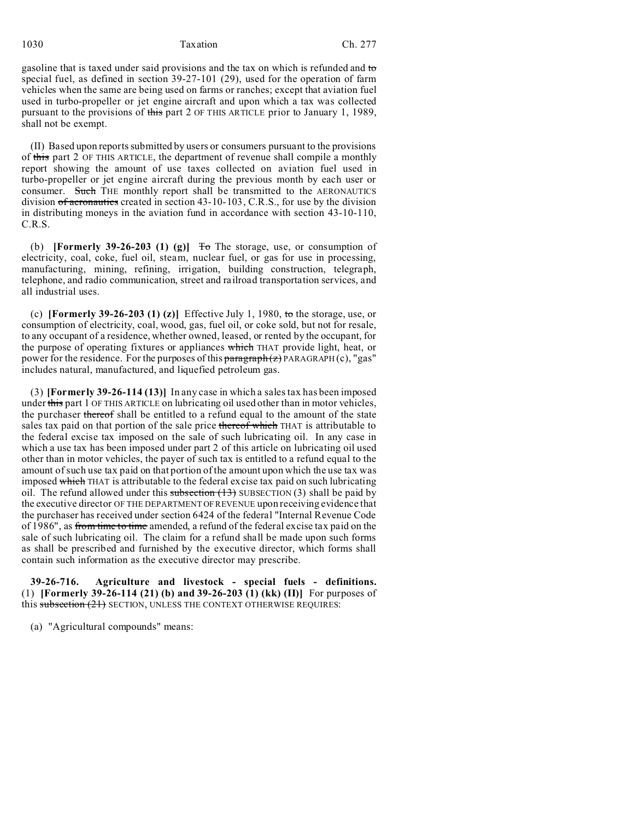## 1030 Taxation Ch. 277

gasoline that is taxed under said provisions and the tax on which is refunded and to special fuel, as defined in section 39-27-101 (29), used for the operation of farm vehicles when the same are being used on farms or ranches; except that aviation fuel used in turbo-propeller or jet engine aircraft and upon which a tax was collected pursuant to the provisions of this part 2 OF THIS ARTICLE prior to January 1, 1989, shall not be exempt.

(II) Based upon reports submitted by users or consumers pursuant to the provisions of this part 2 OF THIS ARTICLE, the department of revenue shall compile a monthly report showing the amount of use taxes collected on aviation fuel used in turbo-propeller or jet engine aircraft during the previous month by each user or consumer. Such THE monthly report shall be transmitted to the AERONAUTICS division of aeronautics created in section 43-10-103, C.R.S., for use by the division in distributing moneys in the aviation fund in accordance with section 43-10-110, C.R.S.

(b) **[Formerly 39-26-203 (1) (g)]**  $\overline{f}$  The storage, use, or consumption of electricity, coal, coke, fuel oil, steam, nuclear fuel, or gas for use in processing, manufacturing, mining, refining, irrigation, building construction, telegraph, telephone, and radio communication, street and railroad transportation services, and all industrial uses.

(c) **[Formerly 39-26-203 (1) (z)]** Effective July 1, 1980, to the storage, use, or consumption of electricity, coal, wood, gas, fuel oil, or coke sold, but not for resale, to any occupant of a residence, whether owned, leased, or rented by the occupant, for the purpose of operating fixtures or appliances which THAT provide light, heat, or power for the residence. For the purposes of this paragraph (z) PARAGRAPH (c), "gas" includes natural, manufactured, and liquefied petroleum gas.

(3) **[Formerly 39-26-114 (13)]** In any case in which a sales tax has been imposed under this part 1 OF THIS ARTICLE on lubricating oil used other than in motor vehicles, the purchaser thereof shall be entitled to a refund equal to the amount of the state sales tax paid on that portion of the sale price thereof which THAT is attributable to the federal excise tax imposed on the sale of such lubricating oil. In any case in which a use tax has been imposed under part 2 of this article on lubricating oil used other than in motor vehicles, the payer of such tax is entitled to a refund equal to the amount of such use tax paid on that portion of the amount upon which the use tax was imposed which THAT is attributable to the federal excise tax paid on such lubricating oil. The refund allowed under this subsection  $(13)$  SUBSECTION (3) shall be paid by the executive director OF THE DEPARTMENT OF REVENUE upon receiving evidence that the purchaser has received under section 6424 of the federal "Internal Revenue Code of 1986", as from time to time amended, a refund of the federal excise tax paid on the sale of such lubricating oil. The claim for a refund shall be made upon such forms as shall be prescribed and furnished by the executive director, which forms shall contain such information as the executive director may prescribe.

**39-26-716. Agriculture and livestock - special fuels - definitions.** (1) **[Formerly 39-26-114 (21) (b) and 39-26-203 (1) (kk) (II)]** For purposes of this subsection  $(21)$  SECTION, UNLESS THE CONTEXT OTHERWISE REQUIRES:

(a) "Agricultural compounds" means: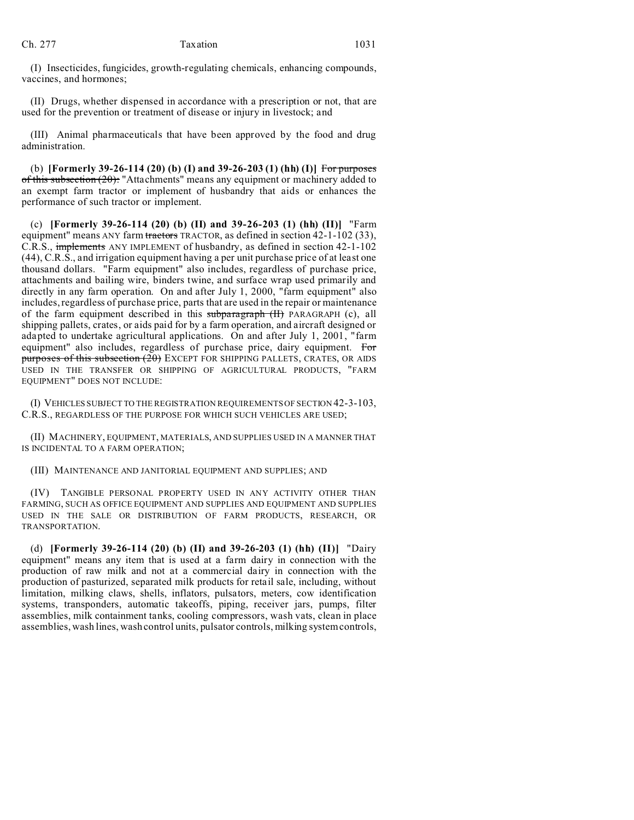(I) Insecticides, fungicides, growth-regulating chemicals, enhancing compounds, vaccines, and hormones;

(II) Drugs, whether dispensed in accordance with a prescription or not, that are used for the prevention or treatment of disease or injury in livestock; and

(III) Animal pharmaceuticals that have been approved by the food and drug administration.

(b) **[Formerly 39-26-114 (20) (b) (I) and 39-26-203 (1) (hh) (I)]** For purposes of this subsection  $(20)$ : "Attachments" means any equipment or machinery added to an exempt farm tractor or implement of husbandry that aids or enhances the performance of such tractor or implement.

(c) **[Formerly 39-26-114 (20) (b) (II) and 39-26-203 (1) (hh) (II)]** "Farm equipment" means ANY farm tractors TRACTOR, as defined in section 42-1-102 (33), C.R.S., implements ANY IMPLEMENT of husbandry, as defined in section 42-1-102 (44), C.R.S., and irrigation equipment having a per unit purchase price of at least one thousand dollars. "Farm equipment" also includes, regardless of purchase price, attachments and bailing wire, binders twine, and surface wrap used primarily and directly in any farm operation. On and after July 1, 2000, "farm equipment" also includes, regardless of purchase price, parts that are used in the repair or maintenance of the farm equipment described in this subparagraph (II) PARAGRAPH (c), all shipping pallets, crates, or aids paid for by a farm operation, and aircraft designed or adapted to undertake agricultural applications. On and after July 1, 2001, "farm equipment" also includes, regardless of purchase price, dairy equipment. For purposes of this subsection (20) EXCEPT FOR SHIPPING PALLETS, CRATES, OR AIDS USED IN THE TRANSFER OR SHIPPING OF AGRICULTURAL PRODUCTS, "FARM EQUIPMENT" DOES NOT INCLUDE:

(I) VEHICLES SUBJECT TO THE REGISTRATION REQUIREMENTS OF SECTION 42-3-103, C.R.S., REGARDLESS OF THE PURPOSE FOR WHICH SUCH VEHICLES ARE USED;

(II) MACHINERY, EQUIPMENT, MATERIALS, AND SUPPLIES USED IN A MANNER THAT IS INCIDENTAL TO A FARM OPERATION;

(III) MAINTENANCE AND JANITORIAL EQUIPMENT AND SUPPLIES; AND

(IV) TANGIBLE PERSONAL PROPERTY USED IN ANY ACTIVITY OTHER THAN FARMING, SUCH AS OFFICE EQUIPMENT AND SUPPLIES AND EQUIPMENT AND SUPPLIES USED IN THE SALE OR DISTRIBUTION OF FARM PRODUCTS, RESEARCH, OR TRANSPORTATION.

(d) **[Formerly 39-26-114 (20) (b) (II) and 39-26-203 (1) (hh) (II)]** "Dairy equipment" means any item that is used at a farm dairy in connection with the production of raw milk and not at a commercial dairy in connection with the production of pasturized, separated milk products for retail sale, including, without limitation, milking claws, shells, inflators, pulsators, meters, cow identification systems, transponders, automatic takeoffs, piping, receiver jars, pumps, filter assemblies, milk containment tanks, cooling compressors, wash vats, clean in place assemblies, wash lines, wash control units, pulsator controls, milking system controls,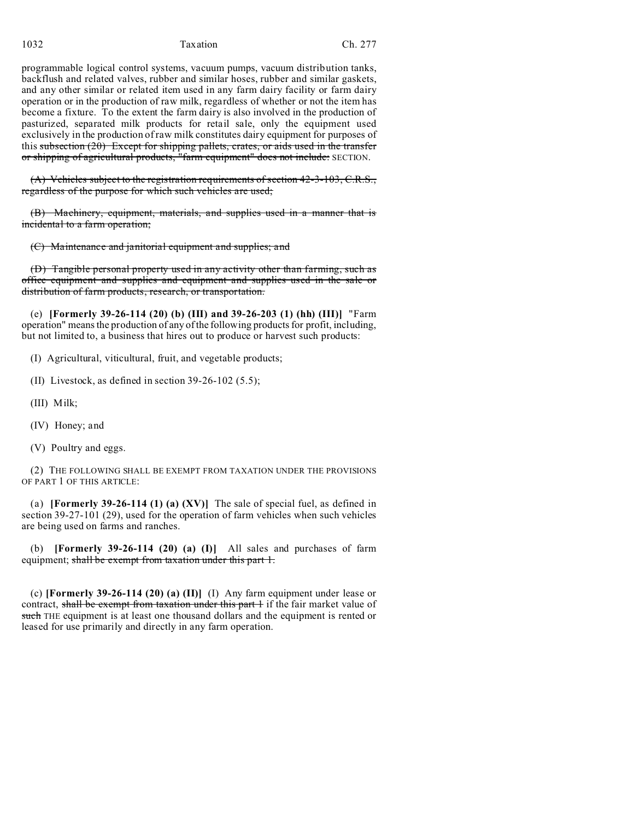1032 Taxation Ch. 277

programmable logical control systems, vacuum pumps, vacuum distribution tanks, backflush and related valves, rubber and similar hoses, rubber and similar gaskets, and any other similar or related item used in any farm dairy facility or farm dairy operation or in the production of raw milk, regardless of whether or not the item has become a fixture. To the extent the farm dairy is also involved in the production of pasturized, separated milk products for retail sale, only the equipment used exclusively in the production of raw milk constitutes dairy equipment for purposes of this subsection (20) Except for shipping pallets, crates, or aids used in the transfer or shipping of agricultural products, "farm equipment" does not include: SECTION.

 $(A)$  Vehicles subject to the registration requirements of section 42-3-103, C.R.S., regardless of the purpose for which such vehicles are used;

(B) Machinery, equipment, materials, and supplies used in a manner that is incidental to a farm operation;

(C) Maintenance and janitorial equipment and supplies; and

(D) Tangible personal property used in any activity other than farming, such as office equipment and supplies and equipment and supplies used in the sale or distribution of farm products, research, or transportation.

(e) **[Formerly 39-26-114 (20) (b) (III) and 39-26-203 (1) (hh) (III)]** "Farm operation" means the production of any of the following products for profit, including, but not limited to, a business that hires out to produce or harvest such products:

(I) Agricultural, viticultural, fruit, and vegetable products;

- (II) Livestock, as defined in section 39-26-102 (5.5);
- (III) Milk;
- (IV) Honey; and
- (V) Poultry and eggs.

(2) THE FOLLOWING SHALL BE EXEMPT FROM TAXATION UNDER THE PROVISIONS OF PART 1 OF THIS ARTICLE:

(a) **[Formerly 39-26-114 (1) (a) (XV)]** The sale of special fuel, as defined in section 39-27-101 (29), used for the operation of farm vehicles when such vehicles are being used on farms and ranches.

(b) **[Formerly 39-26-114 (20) (a) (I)]** All sales and purchases of farm equipment; shall be exempt from taxation under this part 1.

(c) **[Formerly 39-26-114 (20) (a) (II)]** (I) Any farm equipment under lease or contract, shall be exempt from taxation under this part 1 if the fair market value of such THE equipment is at least one thousand dollars and the equipment is rented or leased for use primarily and directly in any farm operation.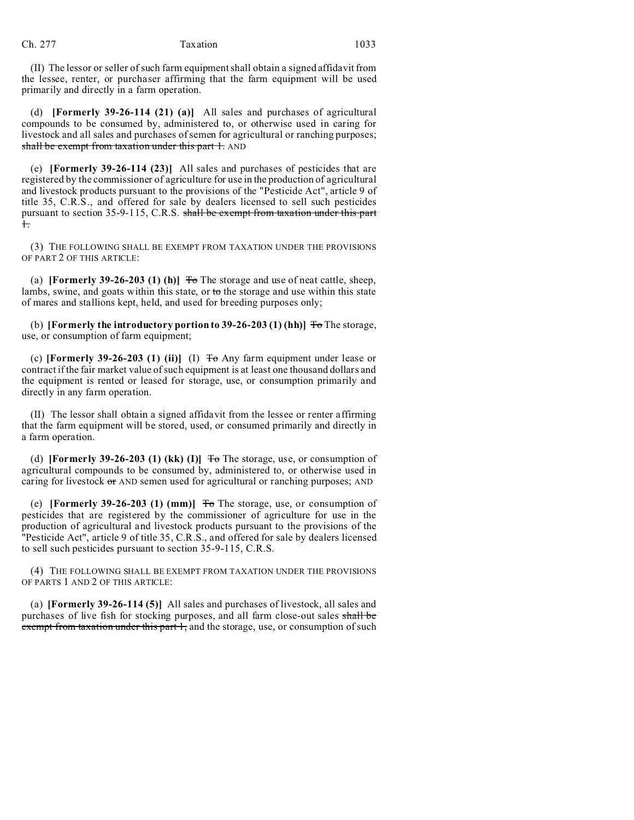(II) The lessor or seller of such farm equipment shall obtain a signed affidavit from the lessee, renter, or purchaser affirming that the farm equipment will be used primarily and directly in a farm operation.

(d) **[Formerly 39-26-114 (21) (a)]** All sales and purchases of agricultural compounds to be consumed by, administered to, or otherwise used in caring for livestock and all sales and purchases of semen for agricultural or ranching purposes; shall be exempt from taxation under this part 1. AND

(e) **[Formerly 39-26-114 (23)]** All sales and purchases of pesticides that are registered by the commissioner of agriculture for use in the production of agricultural and livestock products pursuant to the provisions of the "Pesticide Act", article 9 of title 35, C.R.S., and offered for sale by dealers licensed to sell such pesticides pursuant to section 35-9-115, C.R.S. shall be exempt from taxation under this part 1.

(3) THE FOLLOWING SHALL BE EXEMPT FROM TAXATION UNDER THE PROVISIONS OF PART 2 OF THIS ARTICLE:

(a) **[Formerly 39-26-203 (1) (h)]**  $\overline{r}$  The storage and use of neat cattle, sheep, lambs, swine, and goats within this state, or to the storage and use within this state of mares and stallions kept, held, and used for breeding purposes only;

(b) **[Formerly the introductory portion to 39-26-203 (1) (hh)]**  $\overline{\text{To}}$  The storage, use, or consumption of farm equipment;

(c) **[Formerly 39-26-203 (1) (ii)]** (I) To Any farm equipment under lease or contract if the fair market value of such equipment is at least one thousand dollars and the equipment is rented or leased for storage, use, or consumption primarily and directly in any farm operation.

(II) The lessor shall obtain a signed affidavit from the lessee or renter affirming that the farm equipment will be stored, used, or consumed primarily and directly in a farm operation.

(d) **[Formerly 39-26-203 (1) (kk) (I)]**  $\overline{f}$  The storage, use, or consumption of agricultural compounds to be consumed by, administered to, or otherwise used in caring for livestock  $\sigma$  AND semen used for agricultural or ranching purposes; AND

(e) **[Formerly 39-26-203 (1) (mm)]** To The storage, use, or consumption of pesticides that are registered by the commissioner of agriculture for use in the production of agricultural and livestock products pursuant to the provisions of the "Pesticide Act", article 9 of title 35, C.R.S., and offered for sale by dealers licensed to sell such pesticides pursuant to section 35-9-115, C.R.S.

(4) THE FOLLOWING SHALL BE EXEMPT FROM TAXATION UNDER THE PROVISIONS OF PARTS 1 AND 2 OF THIS ARTICLE:

(a) **[Formerly 39-26-114 (5)]** All sales and purchases of livestock, all sales and purchases of live fish for stocking purposes, and all farm close-out sales shall be exempt from taxation under this part 1, and the storage, use, or consumption of such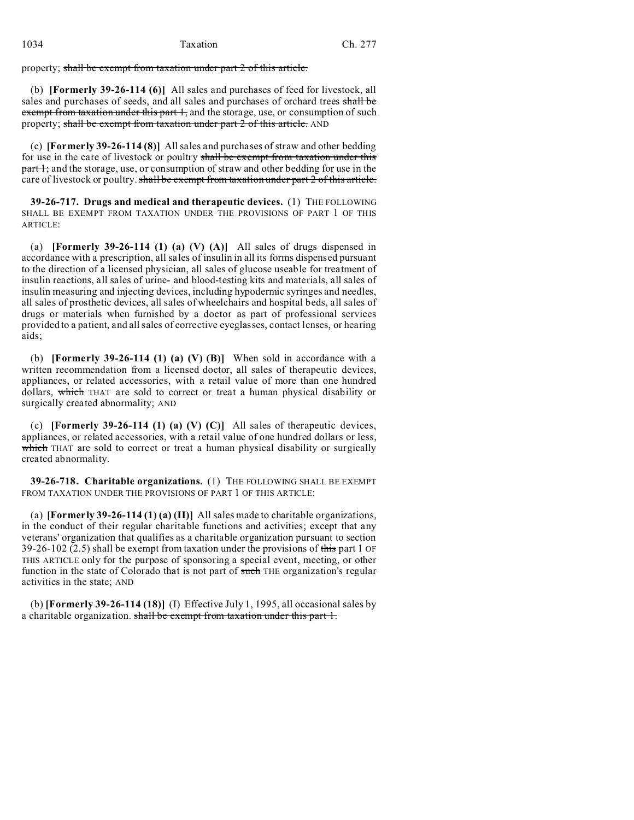property; shall be exempt from taxation under part 2 of this article.

(b) **[Formerly 39-26-114 (6)]** All sales and purchases of feed for livestock, all sales and purchases of seeds, and all sales and purchases of orchard trees shall be exempt from taxation under this part 1, and the storage, use, or consumption of such property; shall be exempt from taxation under part 2 of this article. AND

(c) **[Formerly 39-26-114 (8)]** All sales and purchases of straw and other bedding for use in the care of livestock or poultry shall be exempt from taxation under this part 1; and the storage, use, or consumption of straw and other bedding for use in the care of livestock or poultry. shall be exempt from taxation under part 2 of this article.

**39-26-717. Drugs and medical and therapeutic devices.** (1) THE FOLLOWING SHALL BE EXEMPT FROM TAXATION UNDER THE PROVISIONS OF PART 1 OF THIS ARTICLE:

(a) **[Formerly 39-26-114 (1) (a) (V) (A)]** All sales of drugs dispensed in accordance with a prescription, all sales of insulin in all its forms dispensed pursuant to the direction of a licensed physician, all sales of glucose useable for treatment of insulin reactions, all sales of urine- and blood-testing kits and materials, all sales of insulin measuring and injecting devices, including hypodermic syringes and needles, all sales of prosthetic devices, all sales of wheelchairs and hospital beds, all sales of drugs or materials when furnished by a doctor as part of professional services provided to a patient, and all sales of corrective eyeglasses, contact lenses, or hearing aids;

(b) **[Formerly 39-26-114 (1) (a) (V) (B)]** When sold in accordance with a written recommendation from a licensed doctor, all sales of therapeutic devices, appliances, or related accessories, with a retail value of more than one hundred dollars, which THAT are sold to correct or treat a human physical disability or surgically created abnormality; AND

(c) **[Formerly 39-26-114 (1) (a) (V) (C)]** All sales of therapeutic devices, appliances, or related accessories, with a retail value of one hundred dollars or less, which THAT are sold to correct or treat a human physical disability or surgically created abnormality.

**39-26-718. Charitable organizations.** (1) THE FOLLOWING SHALL BE EXEMPT FROM TAXATION UNDER THE PROVISIONS OF PART 1 OF THIS ARTICLE:

(a) **[Formerly 39-26-114 (1) (a) (II)]** All sales made to charitable organizations, in the conduct of their regular charitable functions and activities; except that any veterans' organization that qualifies as a charitable organization pursuant to section 39-26-102 (2.5) shall be exempt from taxation under the provisions of this part 1 OF THIS ARTICLE only for the purpose of sponsoring a special event, meeting, or other function in the state of Colorado that is not part of such THE organization's regular activities in the state; AND

(b) **[Formerly 39-26-114 (18)]** (I) Effective July 1, 1995, all occasional sales by a charitable organization. shall be exempt from taxation under this part 1.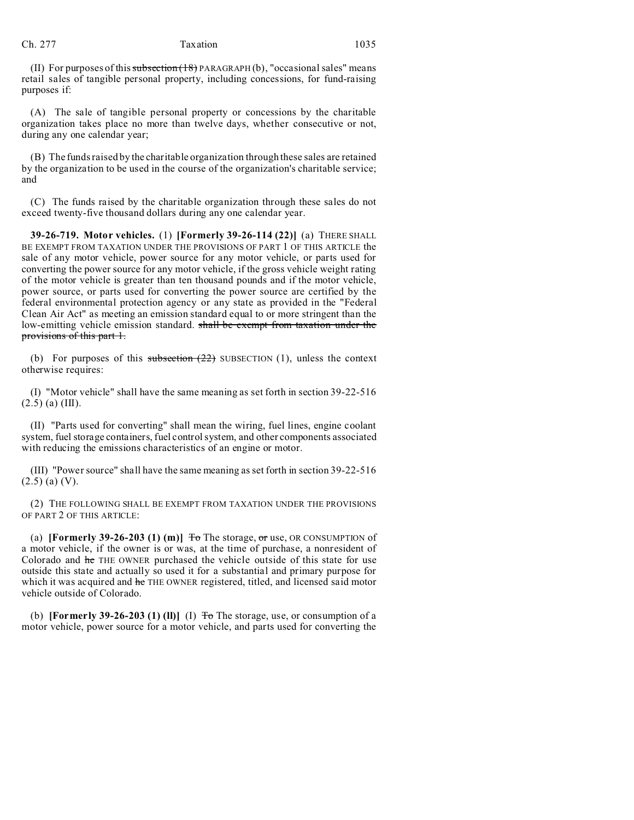(II) For purposes of this subsection  $(18)$  PARAGRAPH (b), "occasional sales" means retail sales of tangible personal property, including concessions, for fund-raising purposes if:

(A) The sale of tangible personal property or concessions by the charitable organization takes place no more than twelve days, whether consecutive or not, during any one calendar year;

(B) The funds raised by the charitable organization through these sales are retained by the organization to be used in the course of the organization's charitable service; and

(C) The funds raised by the charitable organization through these sales do not exceed twenty-five thousand dollars during any one calendar year.

**39-26-719. Motor vehicles.** (1) **[Formerly 39-26-114 (22)]** (a) THERE SHALL BE EXEMPT FROM TAXATION UNDER THE PROVISIONS OF PART 1 OF THIS ARTICLE the sale of any motor vehicle, power source for any motor vehicle, or parts used for converting the power source for any motor vehicle, if the gross vehicle weight rating of the motor vehicle is greater than ten thousand pounds and if the motor vehicle, power source, or parts used for converting the power source are certified by the federal environmental protection agency or any state as provided in the "Federal Clean Air Act" as meeting an emission standard equal to or more stringent than the low-emitting vehicle emission standard. shall be exempt from taxation under the provisions of this part 1.

(b) For purposes of this subsection  $(22)$  SUBSECTION (1), unless the context otherwise requires:

(I) "Motor vehicle" shall have the same meaning as set forth in section 39-22-516  $(2.5)$  (a) (III).

(II) "Parts used for converting" shall mean the wiring, fuel lines, engine coolant system, fuel storage containers, fuel control system, and other components associated with reducing the emissions characteristics of an engine or motor.

(III) "Power source" shall have the same meaning as set forth in section 39-22-516  $(2.5)$  (a) (V).

(2) THE FOLLOWING SHALL BE EXEMPT FROM TAXATION UNDER THE PROVISIONS OF PART 2 OF THIS ARTICLE:

(a) **[Formerly 39-26-203 (1) (m)]**  $\overline{\text{To}}$  The storage,  $\overline{\text{or}}$  use, OR CONSUMPTION of a motor vehicle, if the owner is or was, at the time of purchase, a nonresident of Colorado and he THE OWNER purchased the vehicle outside of this state for use outside this state and actually so used it for a substantial and primary purpose for which it was acquired and he THE OWNER registered, titled, and licensed said motor vehicle outside of Colorado.

(b) **[Formerly 39-26-203 (1) (ll)]** (I)  $\overline{\text{To}}$  The storage, use, or consumption of a motor vehicle, power source for a motor vehicle, and parts used for converting the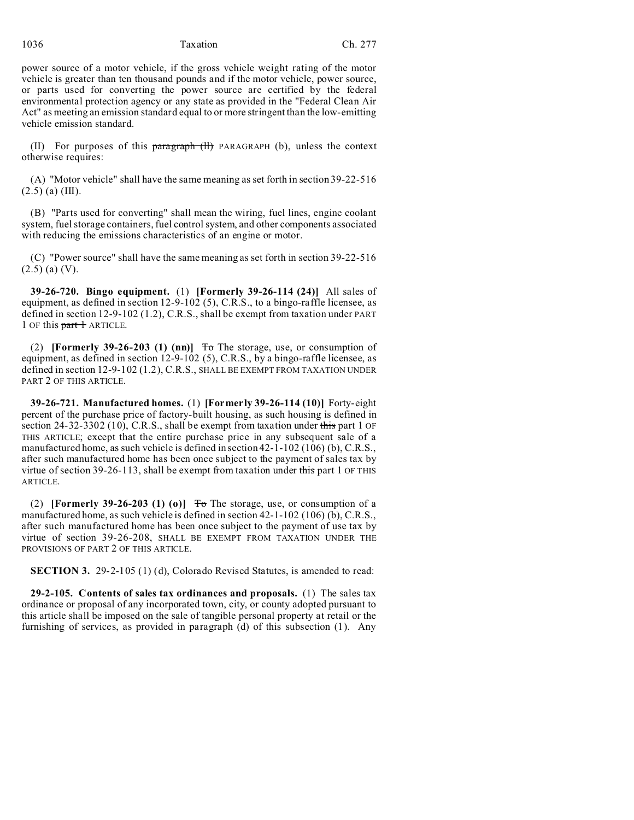1036 Taxation Ch. 277

power source of a motor vehicle, if the gross vehicle weight rating of the motor vehicle is greater than ten thousand pounds and if the motor vehicle, power source, or parts used for converting the power source are certified by the federal environmental protection agency or any state as provided in the "Federal Clean Air Act" as meeting an emission standard equal to or more stringent than the low-emitting vehicle emission standard.

(II) For purposes of this paragraph (ll) PARAGRAPH (b), unless the context otherwise requires:

(A) "Motor vehicle" shall have the same meaning as set forth in section 39-22-516  $(2.5)$  (a) (III).

(B) "Parts used for converting" shall mean the wiring, fuel lines, engine coolant system, fuel storage containers, fuel control system, and other components associated with reducing the emissions characteristics of an engine or motor.

(C) "Power source" shall have the same meaning as set forth in section 39-22-516 (2.5) (a) (V).

**39-26-720. Bingo equipment.** (1) **[Formerly 39-26-114 (24)]** All sales of equipment, as defined in section 12-9-102 (5), C.R.S., to a bingo-raffle licensee, as defined in section 12-9-102 (1.2), C.R.S., shall be exempt from taxation under PART 1 OF this part 1 ARTICLE.

(2) **[Formerly 39-26-203 (1) (nn)]** To The storage, use, or consumption of equipment, as defined in section 12-9-102 (5), C.R.S., by a bingo-raffle licensee, as defined in section 12-9-102 (1.2), C.R.S., SHALL BE EXEMPT FROM TAXATION UNDER PART 2 OF THIS ARTICLE.

**39-26-721. Manufactured homes.** (1) **[Formerly 39-26-114 (10)]** Forty-eight percent of the purchase price of factory-built housing, as such housing is defined in section 24-32-3302 (10), C.R.S., shall be exempt from taxation under this part 1 OF THIS ARTICLE; except that the entire purchase price in any subsequent sale of a manufactured home, as such vehicle is defined in section 42-1-102 (106) (b), C.R.S., after such manufactured home has been once subject to the payment of sales tax by virtue of section 39-26-113, shall be exempt from taxation under this part 1 OF THIS ARTICLE.

(2) **[Formerly 39-26-203 (1) (0)]**  $\overline{f}$  The storage, use, or consumption of a manufactured home, as such vehicle is defined in section 42-1-102 (106) (b), C.R.S., after such manufactured home has been once subject to the payment of use tax by virtue of section 39-26-208, SHALL BE EXEMPT FROM TAXATION UNDER THE PROVISIONS OF PART 2 OF THIS ARTICLE.

**SECTION 3.** 29-2-105 (1) (d), Colorado Revised Statutes, is amended to read:

**29-2-105. Contents of sales tax ordinances and proposals.** (1) The sales tax ordinance or proposal of any incorporated town, city, or county adopted pursuant to this article shall be imposed on the sale of tangible personal property at retail or the furnishing of services, as provided in paragraph (d) of this subsection (1). Any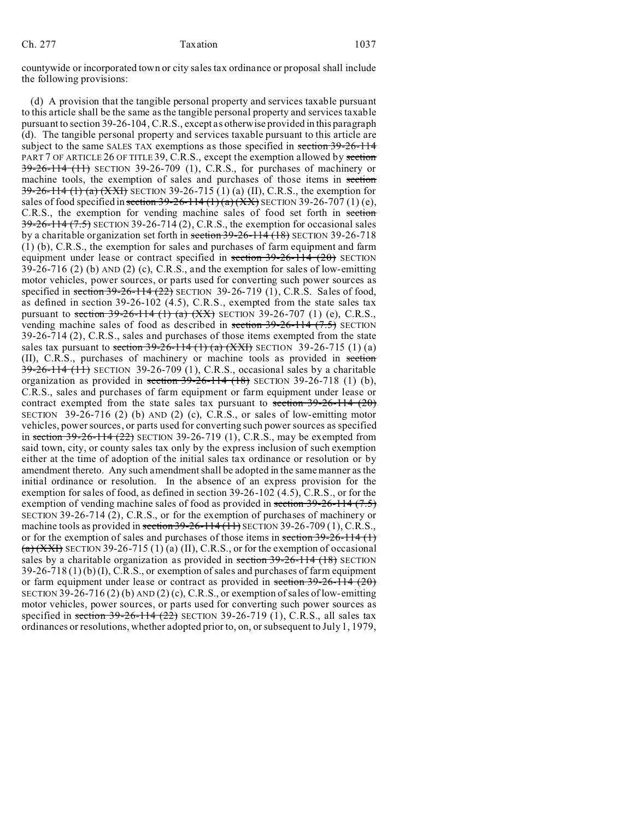countywide or incorporated town or city sales tax ordinance or proposal shall include the following provisions:

(d) A provision that the tangible personal property and services taxable pursuant to this article shall be the same as the tangible personal property and services taxable pursuant to section 39-26-104, C.R.S., except as otherwise provided in this paragraph (d). The tangible personal property and services taxable pursuant to this article are subject to the same SALES TAX exemptions as those specified in section 39-26-114 PART 7 OF ARTICLE 26 OF TITLE 39, C.R.S., except the exemption allowed by section 39-26-114 (11) SECTION 39-26-709 (1), C.R.S., for purchases of machinery or machine tools, the exemption of sales and purchases of those items in section  $39-26-114$  (1) (a)  $(XXI)$  SECTION 39-26-715 (1) (a) (II), C.R.S., the exemption for sales of food specified in section 39-26-114  $(1)(a)(XX)$  SECTION 39-26-707 (1)(e), C.R.S., the exemption for vending machine sales of food set forth in section  $39-26-114$   $(7.5)$  SECTION 39-26-714 (2), C.R.S., the exemption for occasional sales by a charitable organization set forth in section 39-26-114 (18) SECTION 39-26-718 (1) (b), C.R.S., the exemption for sales and purchases of farm equipment and farm equipment under lease or contract specified in section 39-26-114 (20) SECTION  $39-26-716$  (2) (b) AND (2) (c), C.R.S., and the exemption for sales of low-emitting motor vehicles, power sources, or parts used for converting such power sources as specified in section  $39-26-114$  (22) SECTION 39-26-719 (1), C.R.S. Sales of food, as defined in section 39-26-102 (4.5), C.R.S., exempted from the state sales tax pursuant to section  $39-26-114$  (1) (a)  $(XX)$  SECTION 39-26-707 (1) (e), C.R.S., vending machine sales of food as described in section  $39-26-114$   $(7.5)$  SECTION 39-26-714 (2), C.R.S., sales and purchases of those items exempted from the state sales tax pursuant to section  $39-26-114$  (1) (a) (XXI) SECTION 39-26-715 (1) (a) (II), C.R.S., purchases of machinery or machine tools as provided in section  $39-26-114$  (11) SECTION 39-26-709 (1), C.R.S., occasional sales by a charitable organization as provided in section  $39-26-114$  (18) SECTION 39-26-718 (1) (b), C.R.S., sales and purchases of farm equipment or farm equipment under lease or contract exempted from the state sales tax pursuant to section 39-26-114 (20) SECTION 39-26-716 (2) (b) AND (2) (c), C.R.S., or sales of low-emitting motor vehicles, power sources, or parts used for converting such power sources as specified in section  $39-26-114$  (22) SECTION 39-26-719 (1), C.R.S., may be exempted from said town, city, or county sales tax only by the express inclusion of such exemption either at the time of adoption of the initial sales tax ordinance or resolution or by amendment thereto. Any such amendment shall be adopted in the same manner as the initial ordinance or resolution. In the absence of an express provision for the exemption for sales of food, as defined in section 39-26-102 (4.5), C.R.S., or for the exemption of vending machine sales of food as provided in section 39-26-114 (7.5) SECTION 39-26-714 (2), C.R.S., or for the exemption of purchases of machinery or machine tools as provided in section  $39-26-114(11)$  SECTION 39-26-709 (1), C.R.S., or for the exemption of sales and purchases of those items in section  $39-26-114$  (1)  $(a)$  (XXI) SECTION 39-26-715 (1) (a) (II), C.R.S., or for the exemption of occasional sales by a charitable organization as provided in section  $39-26-114$  (18) SECTION 39-26-718 (1) (b) (I), C.R.S., or exemption of sales and purchases of farm equipment or farm equipment under lease or contract as provided in section  $39-26-114$  (20) SECTION 39-26-716 (2) (b) AND (2) (c), C.R.S., or exemption of sales of low-emitting motor vehicles, power sources, or parts used for converting such power sources as specified in section  $39-26-114$   $(22)$  SECTION 39-26-719 (1), C.R.S., all sales tax ordinances or resolutions, whether adopted prior to, on, or subsequent to July 1, 1979,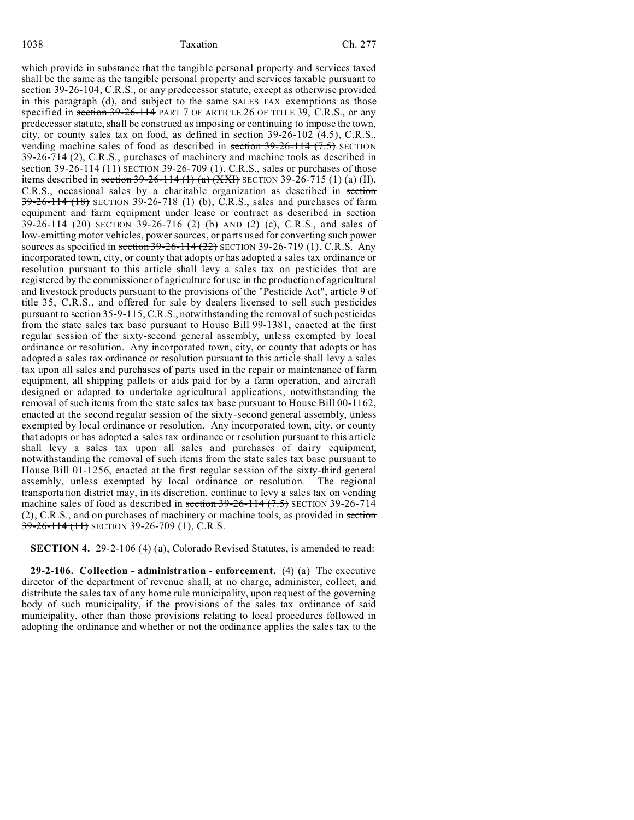#### 1038 Taxation Ch. 277

which provide in substance that the tangible personal property and services taxed shall be the same as the tangible personal property and services taxable pursuant to section 39-26-104, C.R.S., or any predecessor statute, except as otherwise provided in this paragraph (d), and subject to the same SALES TAX exemptions as those specified in section 39-26-114 PART 7 OF ARTICLE 26 OF TITLE 39, C.R.S., or any predecessor statute, shall be construed as imposing or continuing to impose the town, city, or county sales tax on food, as defined in section 39-26-102 (4.5), C.R.S., vending machine sales of food as described in section  $39-26-114$   $(7.5)$  SECTION 39-26-714 (2), C.R.S., purchases of machinery and machine tools as described in section  $39-26-114$  (11) SECTION 39-26-709 (1), C.R.S., sales or purchases of those items described in section  $39-26-114$  (1) (a)  $(XXI)$  SECTION 39-26-715 (1) (a) (II), C.R.S., occasional sales by a charitable organization as described in section 39-26-114 (18) SECTION 39-26-718 (1) (b), C.R.S., sales and purchases of farm equipment and farm equipment under lease or contract as described in section 39-26-114 (20) SECTION 39-26-716 (2) (b) AND (2) (c), C.R.S., and sales of low-emitting motor vehicles, power sources, or parts used for converting such power sources as specified in section  $39-26-114$  (22) SECTION 39-26-719 (1), C.R.S. Any incorporated town, city, or county that adopts or has adopted a sales tax ordinance or resolution pursuant to this article shall levy a sales tax on pesticides that are registered by the commissioner of agriculture for use in the production of agricultural and livestock products pursuant to the provisions of the "Pesticide Act", article 9 of title 35, C.R.S., and offered for sale by dealers licensed to sell such pesticides pursuant to section 35-9-115, C.R.S., notwithstanding the removal of such pesticides from the state sales tax base pursuant to House Bill 99-1381, enacted at the first regular session of the sixty-second general assembly, unless exempted by local ordinance or resolution. Any incorporated town, city, or county that adopts or has adopted a sales tax ordinance or resolution pursuant to this article shall levy a sales tax upon all sales and purchases of parts used in the repair or maintenance of farm equipment, all shipping pallets or aids paid for by a farm operation, and aircraft designed or adapted to undertake agricultural applications, notwithstanding the removal of such items from the state sales tax base pursuant to House Bill 00-1162, enacted at the second regular session of the sixty-second general assembly, unless exempted by local ordinance or resolution. Any incorporated town, city, or county that adopts or has adopted a sales tax ordinance or resolution pursuant to this article shall levy a sales tax upon all sales and purchases of dairy equipment, notwithstanding the removal of such items from the state sales tax base pursuant to House Bill 01-1256, enacted at the first regular session of the sixty-third general assembly, unless exempted by local ordinance or resolution. The regional transportation district may, in its discretion, continue to levy a sales tax on vending machine sales of food as described in section  $39-26-114$   $(7.5)$  SECTION 39-26-714 (2), C.R.S., and on purchases of machinery or machine tools, as provided in section 39-26-114 (11) SECTION 39-26-709 (1), C.R.S.

**SECTION 4.** 29-2-106 (4) (a), Colorado Revised Statutes, is amended to read:

**29-2-106. Collection - administration - enforcement.** (4) (a) The executive director of the department of revenue shall, at no charge, administer, collect, and distribute the sales tax of any home rule municipality, upon request of the governing body of such municipality, if the provisions of the sales tax ordinance of said municipality, other than those provisions relating to local procedures followed in adopting the ordinance and whether or not the ordinance applies the sales tax to the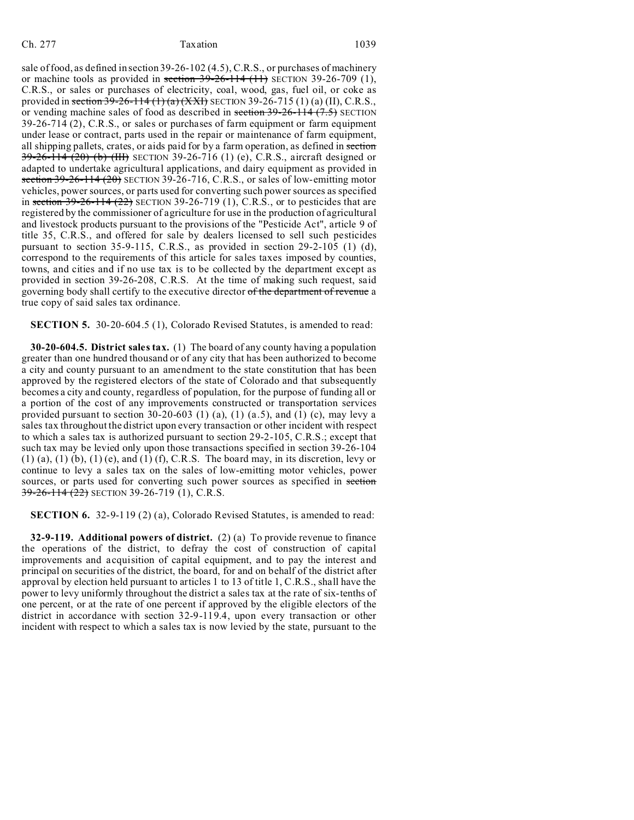sale of food, as defined in section 39-26-102 (4.5), C.R.S., or purchases of machinery or machine tools as provided in section  $39-26-114$  (11) SECTION 39-26-709 (1), C.R.S., or sales or purchases of electricity, coal, wood, gas, fuel oil, or coke as provided in section  $39-26-114 (1) (a) (XXH)$  SECTION 39-26-715 (1) (a) (II), C.R.S., or vending machine sales of food as described in section  $39-26-114$   $(7.5)$  SECTION 39-26-714 (2), C.R.S., or sales or purchases of farm equipment or farm equipment under lease or contract, parts used in the repair or maintenance of farm equipment, all shipping pallets, crates, or aids paid for by a farm operation, as defined in section  $39-26-114$  (20) (b) (III) SECTION 39-26-716 (1) (e), C.R.S., aircraft designed or adapted to undertake agricultural applications, and dairy equipment as provided in section  $39-26-114(20)$  SECTION 39-26-716, C.R.S., or sales of low-emitting motor vehicles, power sources, or parts used for converting such power sources as specified in section  $39-26-114$  ( $22$ ) SECTION 39-26-719 (1), C.R.S., or to pesticides that are registered by the commissioner of agriculture for use in the production of agricultural and livestock products pursuant to the provisions of the "Pesticide Act", article 9 of title 35, C.R.S., and offered for sale by dealers licensed to sell such pesticides pursuant to section 35-9-115, C.R.S., as provided in section 29-2-105 (1) (d), correspond to the requirements of this article for sales taxes imposed by counties, towns, and cities and if no use tax is to be collected by the department except as provided in section 39-26-208, C.R.S. At the time of making such request, said governing body shall certify to the executive director of the department of revenue a true copy of said sales tax ordinance.

**SECTION 5.** 30-20-604.5 (1), Colorado Revised Statutes, is amended to read:

**30-20-604.5. District sales tax.** (1) The board of any county having a population greater than one hundred thousand or of any city that has been authorized to become a city and county pursuant to an amendment to the state constitution that has been approved by the registered electors of the state of Colorado and that subsequently becomes a city and county, regardless of population, for the purpose of funding all or a portion of the cost of any improvements constructed or transportation services provided pursuant to section  $30-20-603$  (1) (a), (1) (a.5), and (1) (c), may levy a sales tax throughout the district upon every transaction or other incident with respect to which a sales tax is authorized pursuant to section 29-2-105, C.R.S.; except that such tax may be levied only upon those transactions specified in section 39-26-104  $(1)$  (a),  $(1)$  (b),  $(1)$  (e), and  $(1)$  (f), C.R.S. The board may, in its discretion, levy or continue to levy a sales tax on the sales of low-emitting motor vehicles, power sources, or parts used for converting such power sources as specified in section 39-26-114 (22) SECTION 39-26-719 (1), C.R.S.

**SECTION 6.** 32-9-119 (2) (a), Colorado Revised Statutes, is amended to read:

**32-9-119. Additional powers of district.** (2) (a) To provide revenue to finance the operations of the district, to defray the cost of construction of capital improvements and acquisition of capital equipment, and to pay the interest and principal on securities of the district, the board, for and on behalf of the district after approval by election held pursuant to articles 1 to 13 of title 1, C.R.S., shall have the power to levy uniformly throughout the district a sales tax at the rate of six-tenths of one percent, or at the rate of one percent if approved by the eligible electors of the district in accordance with section 32-9-119.4, upon every transaction or other incident with respect to which a sales tax is now levied by the state, pursuant to the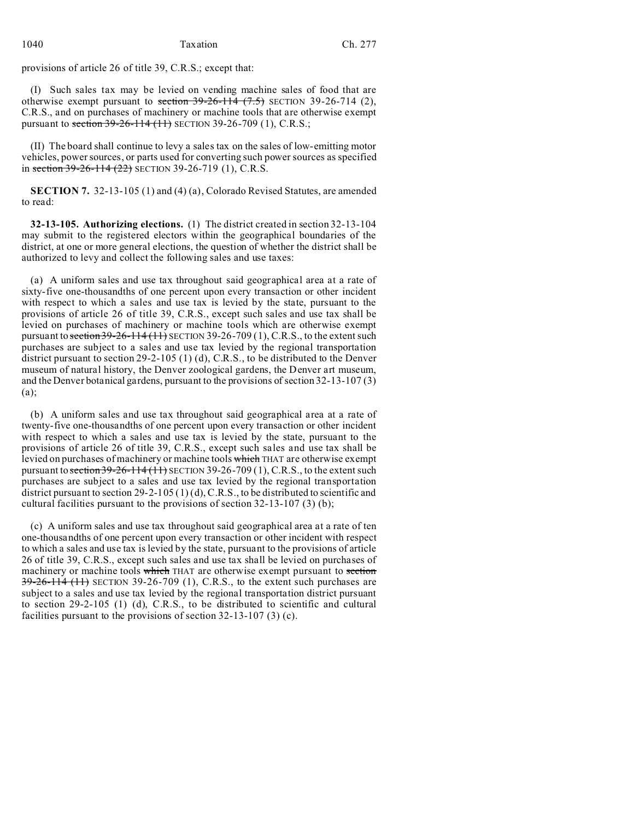provisions of article 26 of title 39, C.R.S.; except that:

(I) Such sales tax may be levied on vending machine sales of food that are otherwise exempt pursuant to section  $39-26-114$   $(7.5)$  SECTION 39-26-714 (2), C.R.S., and on purchases of machinery or machine tools that are otherwise exempt pursuant to section 39-26-114 (11) SECTION 39-26-709 (1), C.R.S.;

(II) The board shall continue to levy a sales tax on the sales of low-emitting motor vehicles, power sources, or parts used for converting such power sources as specified in section  $39-26-114(22)$  SECTION 39-26-719 (1), C.R.S.

**SECTION 7.** 32-13-105 (1) and (4) (a), Colorado Revised Statutes, are amended to read:

**32-13-105. Authorizing elections.** (1) The district created in section 32-13-104 may submit to the registered electors within the geographical boundaries of the district, at one or more general elections, the question of whether the district shall be authorized to levy and collect the following sales and use taxes:

(a) A uniform sales and use tax throughout said geographical area at a rate of sixty-five one-thousandths of one percent upon every transaction or other incident with respect to which a sales and use tax is levied by the state, pursuant to the provisions of article 26 of title 39, C.R.S., except such sales and use tax shall be levied on purchases of machinery or machine tools which are otherwise exempt pursuant to section  $39-26-114$  (11) SECTION 39-26-709 (1), C.R.S., to the extent such purchases are subject to a sales and use tax levied by the regional transportation district pursuant to section 29-2-105 (1) (d), C.R.S., to be distributed to the Denver museum of natural history, the Denver zoological gardens, the Denver art museum, and the Denver botanical gardens, pursuant to the provisions of section 32-13-107 (3) (a);

(b) A uniform sales and use tax throughout said geographical area at a rate of twenty-five one-thousandths of one percent upon every transaction or other incident with respect to which a sales and use tax is levied by the state, pursuant to the provisions of article 26 of title 39, C.R.S., except such sales and use tax shall be levied on purchases of machinery or machine tools which THAT are otherwise exempt pursuant to section  $39-26-114$  (11) SECTION 39-26-709 (1), C.R.S., to the extent such purchases are subject to a sales and use tax levied by the regional transportation district pursuant to section 29-2-105 (1) (d), C.R.S., to be distributed to scientific and cultural facilities pursuant to the provisions of section 32-13-107 (3) (b);

(c) A uniform sales and use tax throughout said geographical area at a rate of ten one-thousandths of one percent upon every transaction or other incident with respect to which a sales and use tax is levied by the state, pursuant to the provisions of article 26 of title 39, C.R.S., except such sales and use tax shall be levied on purchases of machinery or machine tools which THAT are otherwise exempt pursuant to section  $39-26-114$  (11) SECTION 39-26-709 (1), C.R.S., to the extent such purchases are subject to a sales and use tax levied by the regional transportation district pursuant to section 29-2-105 (1) (d), C.R.S., to be distributed to scientific and cultural facilities pursuant to the provisions of section 32-13-107 (3) (c).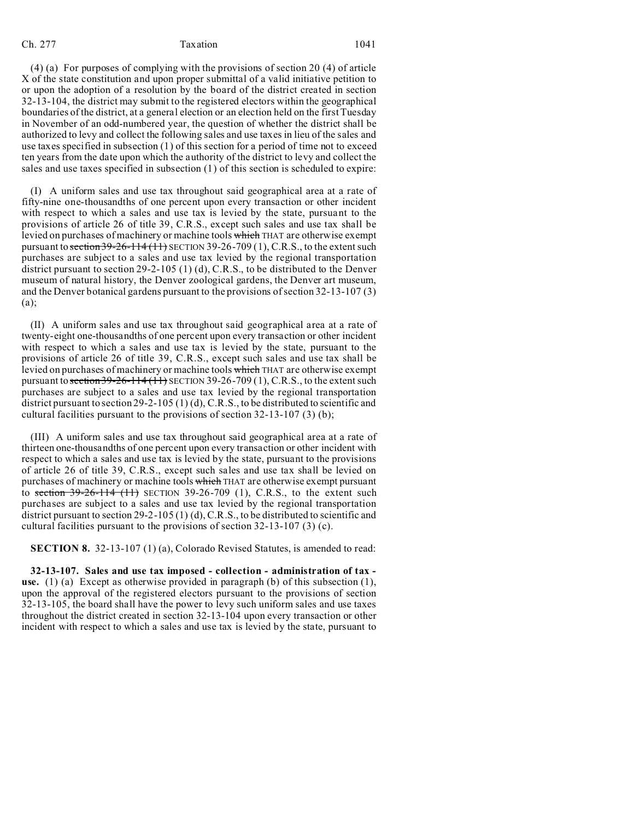(4) (a) For purposes of complying with the provisions of section 20 (4) of article X of the state constitution and upon proper submittal of a valid initiative petition to or upon the adoption of a resolution by the board of the district created in section 32-13-104, the district may submit to the registered electors within the geographical boundaries of the district, at a general election or an election held on the first Tuesday in November of an odd-numbered year, the question of whether the district shall be authorized to levy and collect the following sales and use taxes in lieu of the sales and use taxes specified in subsection (1) of this section for a period of time not to exceed ten years from the date upon which the authority of the district to levy and collect the sales and use taxes specified in subsection (1) of this section is scheduled to expire:

(I) A uniform sales and use tax throughout said geographical area at a rate of fifty-nine one-thousandths of one percent upon every transaction or other incident with respect to which a sales and use tax is levied by the state, pursuant to the provisions of article 26 of title 39, C.R.S., except such sales and use tax shall be levied on purchases of machinery or machine tools which THAT are otherwise exempt pursuant to section  $39-26-114$  (11) SECTION 39-26-709 (1), C.R.S., to the extent such purchases are subject to a sales and use tax levied by the regional transportation district pursuant to section 29-2-105 (1) (d), C.R.S., to be distributed to the Denver museum of natural history, the Denver zoological gardens, the Denver art museum, and the Denver botanical gardens pursuant to the provisions of section 32-13-107 (3) (a);

(II) A uniform sales and use tax throughout said geographical area at a rate of twenty-eight one-thousandths of one percent upon every transaction or other incident with respect to which a sales and use tax is levied by the state, pursuant to the provisions of article 26 of title 39, C.R.S., except such sales and use tax shall be levied on purchases of machinery or machine tools which THAT are otherwise exempt pursuant to section  $39-26-114(11)$  SECTION  $39-26-709(1)$ , C.R.S., to the extent such purchases are subject to a sales and use tax levied by the regional transportation district pursuant to section 29-2-105 (1) (d), C.R.S., to be distributed to scientific and cultural facilities pursuant to the provisions of section 32-13-107 (3) (b);

(III) A uniform sales and use tax throughout said geographical area at a rate of thirteen one-thousandths of one percent upon every transaction or other incident with respect to which a sales and use tax is levied by the state, pursuant to the provisions of article 26 of title 39, C.R.S., except such sales and use tax shall be levied on purchases of machinery or machine tools which THAT are otherwise exempt pursuant to section  $39-26-114$   $(11)$  SECTION 39-26-709 (1), C.R.S., to the extent such purchases are subject to a sales and use tax levied by the regional transportation district pursuant to section 29-2-105 (1) (d), C.R.S., to be distributed to scientific and cultural facilities pursuant to the provisions of section 32-13-107 (3) (c).

**SECTION 8.** 32-13-107 (1) (a), Colorado Revised Statutes, is amended to read:

**32-13-107. Sales and use tax imposed - collection - administration of tax use.** (1) (a) Except as otherwise provided in paragraph (b) of this subsection (1), upon the approval of the registered electors pursuant to the provisions of section 32-13-105, the board shall have the power to levy such uniform sales and use taxes throughout the district created in section 32-13-104 upon every transaction or other incident with respect to which a sales and use tax is levied by the state, pursuant to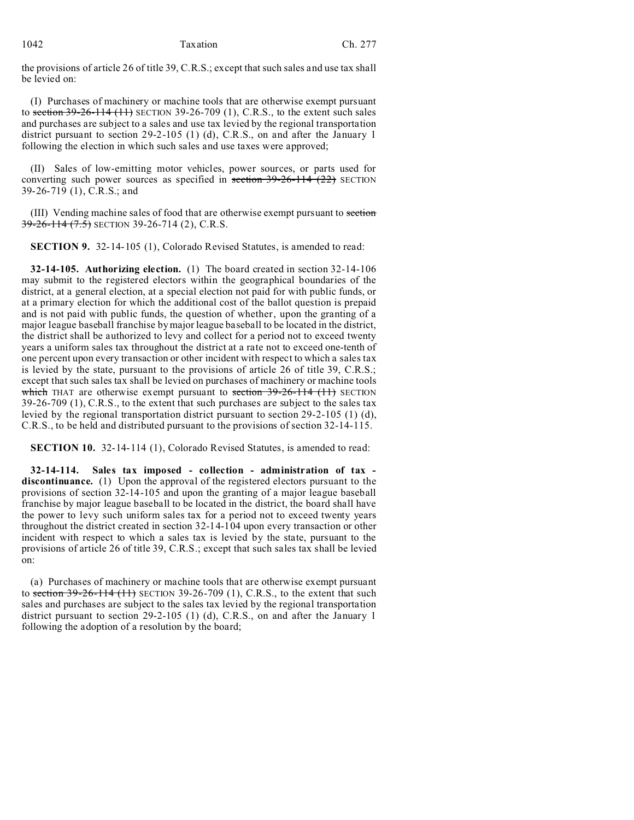1042 Taxation Ch. 277

the provisions of article 26 of title 39, C.R.S.; except that such sales and use tax shall be levied on:

(I) Purchases of machinery or machine tools that are otherwise exempt pursuant to section  $39-26-114$  (11) SECTION 39-26-709 (1), C.R.S., to the extent such sales and purchases are subject to a sales and use tax levied by the regional transportation district pursuant to section 29-2-105 (1) (d), C.R.S., on and after the January 1 following the election in which such sales and use taxes were approved;

(II) Sales of low-emitting motor vehicles, power sources, or parts used for converting such power sources as specified in section  $39-26-114$   $(22)$  SECTION 39-26-719 (1), C.R.S.; and

(III) Vending machine sales of food that are otherwise exempt pursuant to section 39-26-114 (7.5) SECTION 39-26-714 (2), C.R.S.

**SECTION 9.** 32-14-105 (1), Colorado Revised Statutes, is amended to read:

**32-14-105. Authorizing election.** (1) The board created in section 32-14-106 may submit to the registered electors within the geographical boundaries of the district, at a general election, at a special election not paid for with public funds, or at a primary election for which the additional cost of the ballot question is prepaid and is not paid with public funds, the question of whether, upon the granting of a major league baseball franchise by major league baseball to be located in the district, the district shall be authorized to levy and collect for a period not to exceed twenty years a uniform sales tax throughout the district at a rate not to exceed one-tenth of one percent upon every transaction or other incident with respect to which a sales tax is levied by the state, pursuant to the provisions of article 26 of title 39, C.R.S.; except that such sales tax shall be levied on purchases of machinery or machine tools which THAT are otherwise exempt pursuant to section  $39-26-114$  (11) SECTION 39-26-709 (1), C.R.S., to the extent that such purchases are subject to the sales tax levied by the regional transportation district pursuant to section 29-2-105 (1) (d), C.R.S., to be held and distributed pursuant to the provisions of section 32-14-115.

**SECTION 10.** 32-14-114 (1), Colorado Revised Statutes, is amended to read:

**32-14-114. Sales tax imposed - collection - administration of tax discontinuance.** (1) Upon the approval of the registered electors pursuant to the provisions of section 32-14-105 and upon the granting of a major league baseball franchise by major league baseball to be located in the district, the board shall have the power to levy such uniform sales tax for a period not to exceed twenty years throughout the district created in section 32-14-104 upon every transaction or other incident with respect to which a sales tax is levied by the state, pursuant to the provisions of article 26 of title 39, C.R.S.; except that such sales tax shall be levied on:

(a) Purchases of machinery or machine tools that are otherwise exempt pursuant to section  $39-26-114$  (11) SECTION 39-26-709 (1), C.R.S., to the extent that such sales and purchases are subject to the sales tax levied by the regional transportation district pursuant to section 29-2-105 (1) (d), C.R.S., on and after the January 1 following the adoption of a resolution by the board;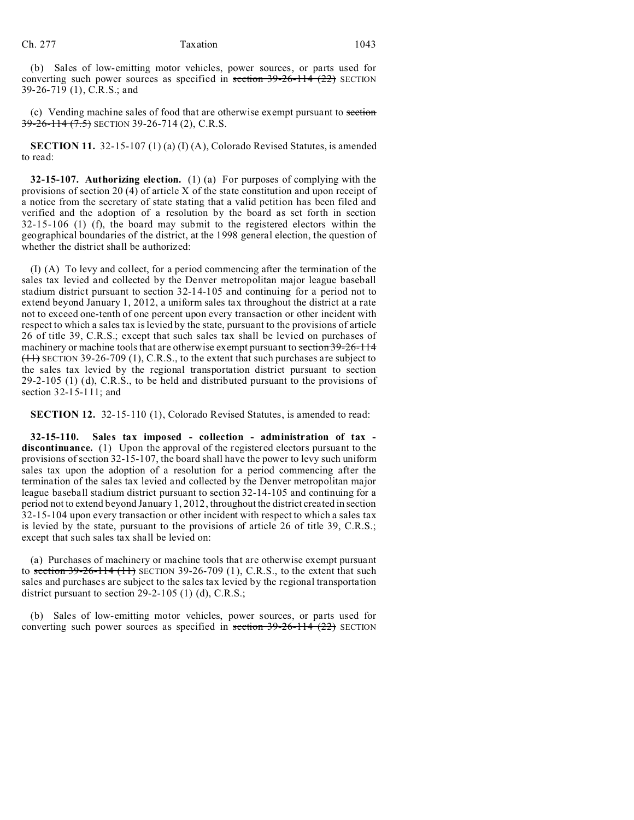(b) Sales of low-emitting motor vehicles, power sources, or parts used for converting such power sources as specified in section  $39-26-114$   $(22)$  SECTION 39-26-719 (1), C.R.S.; and

(c) Vending machine sales of food that are otherwise exempt pursuant to section 39-26-114 (7.5) SECTION 39-26-714 (2), C.R.S.

**SECTION 11.** 32-15-107 (1) (a) (I) (A), Colorado Revised Statutes, is amended to read:

**32-15-107. Authorizing election.** (1) (a) For purposes of complying with the provisions of section 20 (4) of article X of the state constitution and upon receipt of a notice from the secretary of state stating that a valid petition has been filed and verified and the adoption of a resolution by the board as set forth in section 32-15-106 (1) (f), the board may submit to the registered electors within the geographical boundaries of the district, at the 1998 general election, the question of whether the district shall be authorized:

(I) (A) To levy and collect, for a period commencing after the termination of the sales tax levied and collected by the Denver metropolitan major league baseball stadium district pursuant to section 32-14-105 and continuing for a period not to extend beyond January 1, 2012, a uniform sales tax throughout the district at a rate not to exceed one-tenth of one percent upon every transaction or other incident with respect to which a sales tax is levied by the state, pursuant to the provisions of article 26 of title 39, C.R.S.; except that such sales tax shall be levied on purchases of machinery or machine tools that are otherwise exempt pursuant to section 39-26-114  $(11)$  SECTION 39-26-709 (1), C.R.S., to the extent that such purchases are subject to the sales tax levied by the regional transportation district pursuant to section 29-2-105 (1) (d), C.R.S., to be held and distributed pursuant to the provisions of section 32-15-111; and

**SECTION 12.** 32-15-110 (1), Colorado Revised Statutes, is amended to read:

**32-15-110. Sales tax imposed - collection - administration of tax discontinuance.** (1) Upon the approval of the registered electors pursuant to the provisions of section 32-15-107, the board shall have the power to levy such uniform sales tax upon the adoption of a resolution for a period commencing after the termination of the sales tax levied and collected by the Denver metropolitan major league baseball stadium district pursuant to section 32-14-105 and continuing for a period not to extend beyond January 1, 2012, throughout the district created in section 32-15-104 upon every transaction or other incident with respect to which a sales tax is levied by the state, pursuant to the provisions of article 26 of title 39, C.R.S.; except that such sales tax shall be levied on:

(a) Purchases of machinery or machine tools that are otherwise exempt pursuant to section  $39-26-114$  (11) SECTION 39-26-709 (1), C.R.S., to the extent that such sales and purchases are subject to the sales tax levied by the regional transportation district pursuant to section 29-2-105 (1) (d), C.R.S.;

(b) Sales of low-emitting motor vehicles, power sources, or parts used for converting such power sources as specified in section  $39-26-114$   $(22)$  SECTION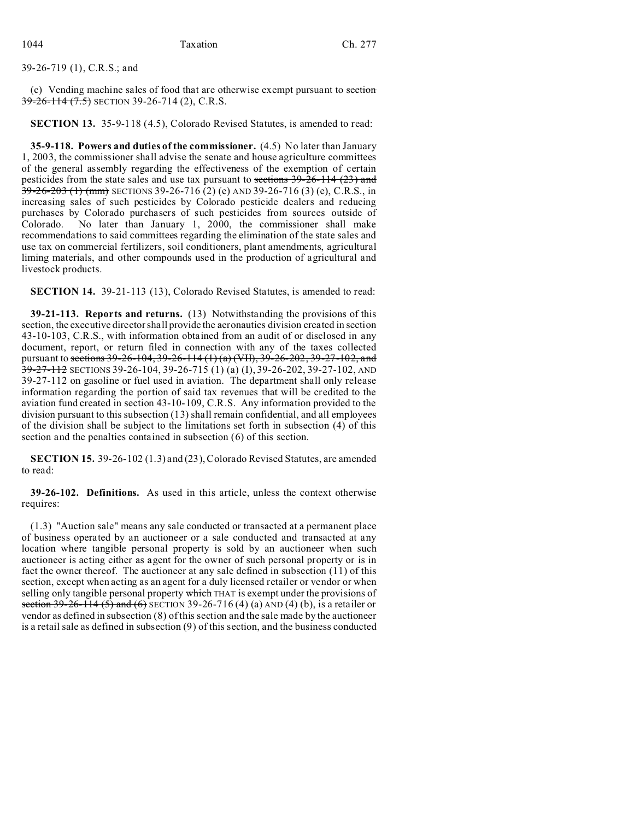# 39-26-719 (1), C.R.S.; and

(c) Vending machine sales of food that are otherwise exempt pursuant to section  $39-26-114(7.5)$  SECTION 39-26-714 (2), C.R.S.

**SECTION 13.** 35-9-118 (4.5), Colorado Revised Statutes, is amended to read:

**35-9-118. Powers and duties of the commissioner.** (4.5) No later than January 1, 2003, the commissioner shall advise the senate and house agriculture committees of the general assembly regarding the effectiveness of the exemption of certain pesticides from the state sales and use tax pursuant to sections 39-26-114 (23) and  $\overline{39-26-203}$  (1) (mm) SECTIONS 39-26-716 (2) (e) AND 39-26-716 (3) (e), C.R.S., in increasing sales of such pesticides by Colorado pesticide dealers and reducing purchases by Colorado purchasers of such pesticides from sources outside of Colorado. No later than January 1, 2000, the commissioner shall make recommendations to said committees regarding the elimination of the state sales and use tax on commercial fertilizers, soil conditioners, plant amendments, agricultural liming materials, and other compounds used in the production of agricultural and livestock products.

**SECTION 14.** 39-21-113 (13), Colorado Revised Statutes, is amended to read:

**39-21-113. Reports and returns.** (13) Notwithstanding the provisions of this section, the executive director shall provide the aeronautics division created in section 43-10-103, C.R.S., with information obtained from an audit of or disclosed in any document, report, or return filed in connection with any of the taxes collected pursuant to sections 39-26-104, 39-26-114 (1) (a) (VII), 39-26-202, 39-27-102, and  $\frac{39-27-112}{39-27-112}$  SECTIONS 39-26-104, 39-26-715 (1) (a) (I), 39-26-202, 39-27-102, AND 39-27-112 on gasoline or fuel used in aviation. The department shall only release information regarding the portion of said tax revenues that will be credited to the aviation fund created in section 43-10-109, C.R.S. Any information provided to the division pursuant to this subsection (13) shall remain confidential, and all employees of the division shall be subject to the limitations set forth in subsection (4) of this section and the penalties contained in subsection (6) of this section.

**SECTION 15.** 39-26-102 (1.3) and (23), Colorado Revised Statutes, are amended to read:

**39-26-102. Definitions.** As used in this article, unless the context otherwise requires:

(1.3) "Auction sale" means any sale conducted or transacted at a permanent place of business operated by an auctioneer or a sale conducted and transacted at any location where tangible personal property is sold by an auctioneer when such auctioneer is acting either as agent for the owner of such personal property or is in fact the owner thereof. The auctioneer at any sale defined in subsection (11) of this section, except when acting as an agent for a duly licensed retailer or vendor or when selling only tangible personal property which THAT is exempt under the provisions of section  $39-26-114(5)$  and  $(6)$  SECTION 39-26-716(4)(a) AND (4)(b), is a retailer or vendor as defined in subsection (8) of this section and the sale made by the auctioneer is a retail sale as defined in subsection (9) of this section, and the business conducted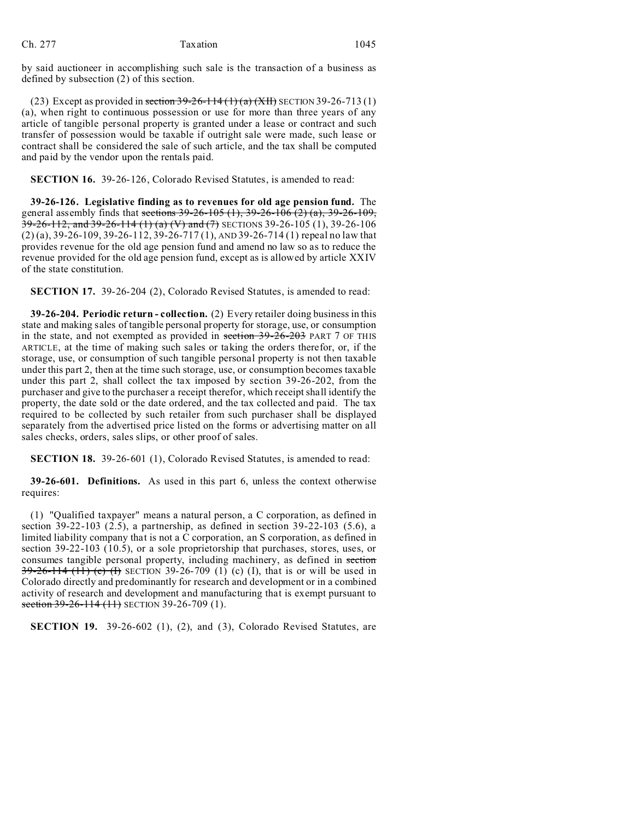by said auctioneer in accomplishing such sale is the transaction of a business as defined by subsection (2) of this section.

(23) Except as provided in section  $39-26-114(1)(a)$  (XII) SECTION 39-26-713(1) (a), when right to continuous possession or use for more than three years of any article of tangible personal property is granted under a lease or contract and such transfer of possession would be taxable if outright sale were made, such lease or contract shall be considered the sale of such article, and the tax shall be computed and paid by the vendor upon the rentals paid.

**SECTION 16.** 39-26-126, Colorado Revised Statutes, is amended to read:

**39-26-126. Legislative finding as to revenues for old age pension fund.** The general assembly finds that sections  $39-26-105$  (1),  $39-26-106$  (2) (a),  $39-26-109$ , 39-26-112, and 39-26-114 (1) (a) (V) and (7) SECTIONS 39-26-105 (1), 39-26-106 (2) (a), 39-26-109, 39-26-112, 39-26-717 (1), AND 39-26-714 (1) repeal no law that provides revenue for the old age pension fund and amend no law so as to reduce the revenue provided for the old age pension fund, except as is allowed by article XXIV of the state constitution.

**SECTION 17.** 39-26-204 (2), Colorado Revised Statutes, is amended to read:

**39-26-204. Periodic return - collection.** (2) Every retailer doing business in this state and making sales of tangible personal property for storage, use, or consumption in the state, and not exempted as provided in section 39-26-203 PART 7 OF THIS ARTICLE, at the time of making such sales or taking the orders therefor, or, if the storage, use, or consumption of such tangible personal property is not then taxable under this part 2, then at the time such storage, use, or consumption becomes taxable under this part 2, shall collect the tax imposed by section 39-26-202, from the purchaser and give to the purchaser a receipt therefor, which receipt shall identify the property, the date sold or the date ordered, and the tax collected and paid. The tax required to be collected by such retailer from such purchaser shall be displayed separately from the advertised price listed on the forms or advertising matter on all sales checks, orders, sales slips, or other proof of sales.

**SECTION 18.** 39-26-601 (1), Colorado Revised Statutes, is amended to read:

**39-26-601. Definitions.** As used in this part 6, unless the context otherwise requires:

(1) "Qualified taxpayer" means a natural person, a C corporation, as defined in section 39-22-103 (2.5), a partnership, as defined in section 39-22-103 (5.6), a limited liability company that is not a C corporation, an S corporation, as defined in section 39-22-103 (10.5), or a sole proprietorship that purchases, stores, uses, or consumes tangible personal property, including machinery, as defined in section  $39-26-114$  (11) (c) (f) SECTION 39-26-709 (1) (c) (I), that is or will be used in Colorado directly and predominantly for research and development or in a combined activity of research and development and manufacturing that is exempt pursuant to section  $39-26-114(11)$  SECTION 39-26-709 (1).

**SECTION 19.** 39-26-602 (1), (2), and (3), Colorado Revised Statutes, are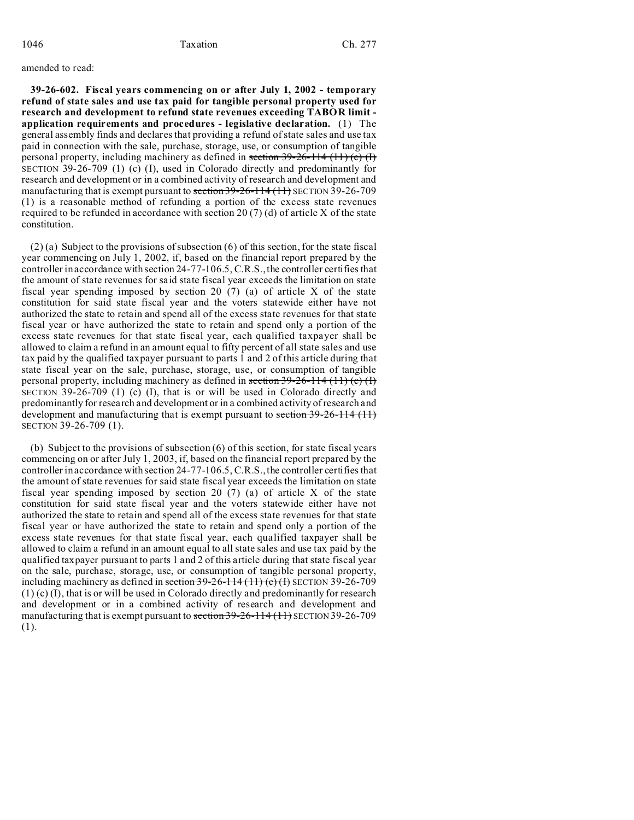#### amended to read:

**39-26-602. Fiscal years commencing on or after July 1, 2002 - temporary refund of state sales and use tax paid for tangible personal property used for research and development to refund state revenues exceeding TABOR limit application requirements and procedures - legislative declaration.** (1) The general assembly finds and declares that providing a refund of state sales and use tax paid in connection with the sale, purchase, storage, use, or consumption of tangible personal property, including machinery as defined in section  $39-26-114$  (11) (c) (I) SECTION 39-26-709 (1) (c) (I), used in Colorado directly and predominantly for research and development or in a combined activity of research and development and manufacturing that is exempt pursuant to section 39-26-114 (11) SECTION 39-26-709 (1) is a reasonable method of refunding a portion of the excess state revenues required to be refunded in accordance with section 20  $(7)$  (d) of article X of the state constitution.

(2) (a) Subject to the provisions of subsection (6) of this section, for the state fiscal year commencing on July 1, 2002, if, based on the financial report prepared by the controller in accordance with section 24-77-106.5, C.R.S., the controller certifies that the amount of state revenues for said state fiscal year exceeds the limitation on state fiscal year spending imposed by section 20 (7) (a) of article X of the state constitution for said state fiscal year and the voters statewide either have not authorized the state to retain and spend all of the excess state revenues for that state fiscal year or have authorized the state to retain and spend only a portion of the excess state revenues for that state fiscal year, each qualified taxpayer shall be allowed to claim a refund in an amount equal to fifty percent of all state sales and use tax paid by the qualified taxpayer pursuant to parts 1 and 2 of this article during that state fiscal year on the sale, purchase, storage, use, or consumption of tangible personal property, including machinery as defined in section  $39-26-114$  (11) (c) (I) SECTION 39-26-709 (1) (c) (I), that is or will be used in Colorado directly and predominantly for research and development or in a combined activity of research and development and manufacturing that is exempt pursuant to section 39-26-114 (11) SECTION 39-26-709 (1).

(b) Subject to the provisions of subsection (6) of this section, for state fiscal years commencing on or after July 1, 2003, if, based on the financial report prepared by the controller in accordance with section 24-77-106.5, C.R.S., the controller certifies that the amount of state revenues for said state fiscal year exceeds the limitation on state fiscal year spending imposed by section 20 (7) (a) of article X of the state constitution for said state fiscal year and the voters statewide either have not authorized the state to retain and spend all of the excess state revenues for that state fiscal year or have authorized the state to retain and spend only a portion of the excess state revenues for that state fiscal year, each qualified taxpayer shall be allowed to claim a refund in an amount equal to all state sales and use tax paid by the qualified taxpayer pursuant to parts 1 and 2 of this article during that state fiscal year on the sale, purchase, storage, use, or consumption of tangible personal property, including machinery as defined in section  $39-26-114(11)(c)$  (H) SECTION 39-26-709 (1) (c) (I), that is or will be used in Colorado directly and predominantly for research and development or in a combined activity of research and development and manufacturing that is exempt pursuant to section 39-26-114 (11) SECTION 39-26-709 (1).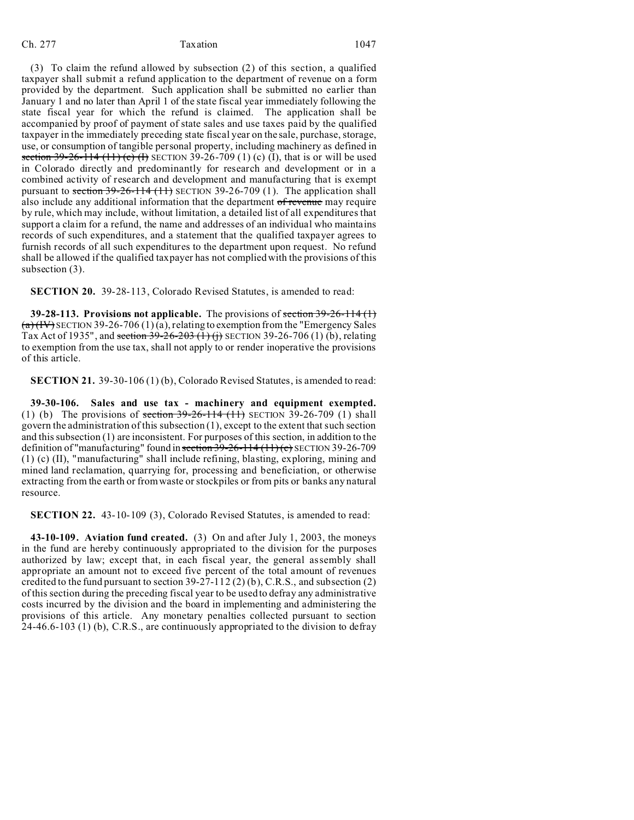(3) To claim the refund allowed by subsection (2) of this section, a qualified taxpayer shall submit a refund application to the department of revenue on a form provided by the department. Such application shall be submitted no earlier than January 1 and no later than April 1 of the state fiscal year immediately following the state fiscal year for which the refund is claimed. The application shall be accompanied by proof of payment of state sales and use taxes paid by the qualified taxpayer in the immediately preceding state fiscal year on the sale, purchase, storage, use, or consumption of tangible personal property, including machinery as defined in section 39-26-114 (11) (c) (f) SECTION 39-26-709 (1) (c) (I), that is or will be used in Colorado directly and predominantly for research and development or in a combined activity of research and development and manufacturing that is exempt pursuant to section  $39-26-114$  (11) SECTION 39-26-709 (1). The application shall also include any additional information that the department of revenue may require by rule, which may include, without limitation, a detailed list of all expenditures that support a claim for a refund, the name and addresses of an individual who maintains records of such expenditures, and a statement that the qualified taxpayer agrees to furnish records of all such expenditures to the department upon request. No refund shall be allowed if the qualified taxpayer has not complied with the provisions of this subsection (3).

**SECTION 20.** 39-28-113, Colorado Revised Statutes, is amended to read:

**39-28-113. Provisions not applicable.** The provisions of section 39-26-114 (1)  $(a)$  (IV) SECTION 39-26-706 (1) (a), relating to exemption from the "Emergency Sales Tax Act of 1935", and section  $39-26-203$  (1) (j) SECTION 39-26-706 (1) (b), relating to exemption from the use tax, shall not apply to or render inoperative the provisions of this article.

**SECTION 21.** 39-30-106 (1) (b), Colorado Revised Statutes, is amended to read:

**39-30-106. Sales and use tax - machinery and equipment exempted.** (1) (b) The provisions of section  $39-26-114$  (11) SECTION 39-26-709 (1) shall govern the administration of this subsection (1), except to the extent that such section and this subsection (1) are inconsistent. For purposes of this section, in addition to the definition of "manufacturing" found in section 39-26-114 (11) (c) SECTION 39-26-709 (1) (c) (II), "manufacturing" shall include refining, blasting, exploring, mining and mined land reclamation, quarrying for, processing and beneficiation, or otherwise extracting from the earth or from waste or stockpiles or from pits or banks any natural resource.

**SECTION 22.** 43-10-109 (3), Colorado Revised Statutes, is amended to read:

**43-10-109. Aviation fund created.** (3) On and after July 1, 2003, the moneys in the fund are hereby continuously appropriated to the division for the purposes authorized by law; except that, in each fiscal year, the general assembly shall appropriate an amount not to exceed five percent of the total amount of revenues credited to the fund pursuant to section  $39-27-112$  (2) (b), C.R.S., and subsection (2) of this section during the preceding fiscal year to be used to defray any administrative costs incurred by the division and the board in implementing and administering the provisions of this article. Any monetary penalties collected pursuant to section 24-46.6-103 (1) (b), C.R.S., are continuously appropriated to the division to defray